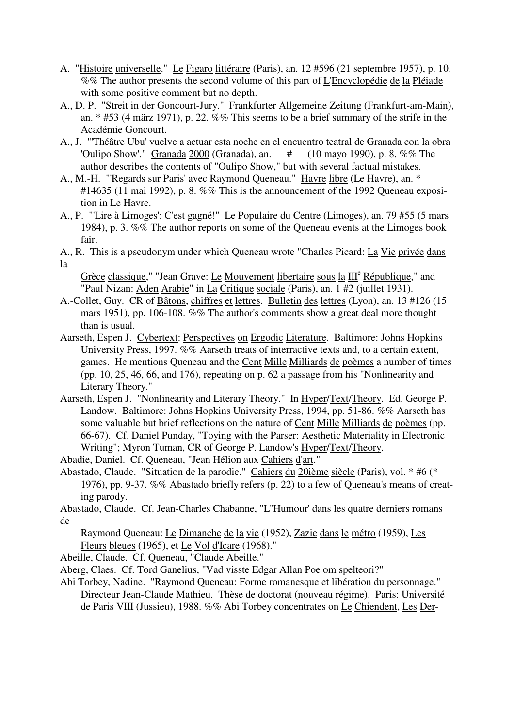- A. "Histoire universelle." Le Figaro littéraire (Paris), an. 12 #596 (21 septembre 1957), p. 10. %% The author presents the second volume of this part of L'Encyclopédie de la Pléiade with some positive comment but no depth.
- A., D. P. "Streit in der Goncourt-Jury." Frankfurter Allgemeine Zeitung (Frankfurt-am-Main), an. \* #53 (4 märz 1971), p. 22. %% This seems to be a brief summary of the strife in the Académie Goncourt.
- A., J. "'Théâtre Ubu' vuelve a actuar esta noche en el encuentro teatral de Granada con la obra 'Oulipo Show'." Granada 2000 (Granada), an. # (10 mayo 1990), p. 8. %% The author describes the contents of "Oulipo Show," but with several factual mistakes.
- A., M.-H. "'Regards sur Paris' avec Raymond Queneau." Havre libre (Le Havre), an. \* #14635 (11 mai 1992), p. 8. %% This is the announcement of the 1992 Queneau exposition in Le Havre.
- A., P. "'Lire à Limoges': C'est gagné!" Le Populaire du Centre (Limoges), an. 79 #55 (5 mars 1984), p. 3. %% The author reports on some of the Queneau events at the Limoges book fair.
- A., R. This is a pseudonym under which Queneau wrote "Charles Picard: La Vie privée dans la

Grèce classique," "Jean Grave: Le Mouvement libertaire sous la III<sup>e</sup> République," and "Paul Nizan: Aden Arabie" in La Critique sociale (Paris), an. 1 #2 (juillet 1931).

- A.-Collet, Guy. CR of Bâtons, chiffres et lettres. Bulletin des lettres (Lyon), an. 13 #126 (15 mars 1951), pp. 106-108. %% The author's comments show a great deal more thought than is usual.
- Aarseth, Espen J. Cybertext: Perspectives on Ergodic Literature. Baltimore: Johns Hopkins University Press, 1997. %% Aarseth treats of interractive texts and, to a certain extent, games. He mentions Queneau and the Cent Mille Milliards de poèmes a number of times (pp. 10, 25, 46, 66, and 176), repeating on p. 62 a passage from his "Nonlinearity and Literary Theory."
- Aarseth, Espen J. "Nonlinearity and Literary Theory." In Hyper/Text/Theory. Ed. George P. Landow. Baltimore: Johns Hopkins University Press, 1994, pp. 51-86. %% Aarseth has some valuable but brief reflections on the nature of Cent Mille Milliards de poèmes (pp. 66-67). Cf. Daniel Punday, "Toying with the Parser: Aesthetic Materiality in Electronic Writing"; Myron Tuman, CR of George P. Landow's Hyper/Text/Theory.

Abadie, Daniel. Cf. Queneau, "Jean Hélion aux Cahiers d'art."

Abastado, Claude. "Situation de la parodie." Cahiers du 20ième siècle (Paris), vol. \* #6 (\* 1976), pp. 9-37. %% Abastado briefly refers (p. 22) to a few of Queneau's means of creating parody.

Abastado, Claude. Cf. Jean-Charles Chabanne, "L''Humour' dans les quatre derniers romans de

Raymond Queneau: Le Dimanche de la vie (1952), Zazie dans le métro (1959), Les Fleurs bleues (1965), et Le Vol d'Icare (1968)."

Abeille, Claude. Cf. Queneau, "Claude Abeille."

Aberg, Claes. Cf. Tord Ganelius, "Vad visste Edgar Allan Poe om spelteori?"

Abi Torbey, Nadine. "Raymond Queneau: Forme romanesque et libération du personnage." Directeur Jean-Claude Mathieu. Thèse de doctorat (nouveau régime). Paris: Université de Paris VIII (Jussieu), 1988. %% Abi Torbey concentrates on Le Chiendent, Les Der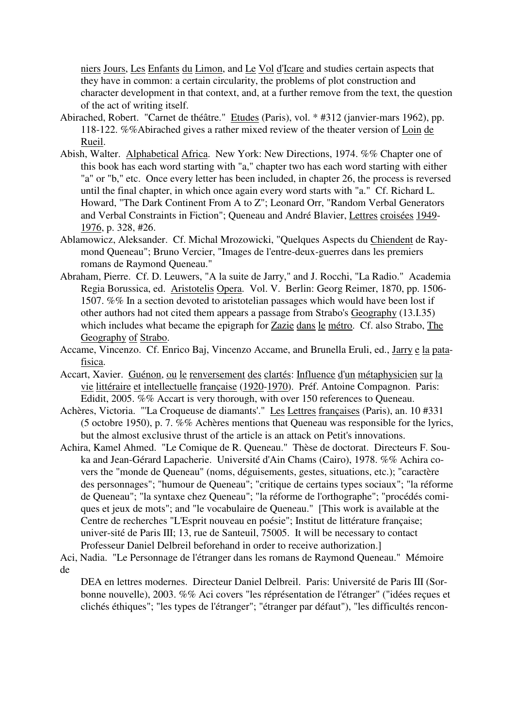niers Jours, Les Enfants du Limon, and Le Vol d'Icare and studies certain aspects that they have in common: a certain circularity, the problems of plot construction and character development in that context, and, at a further remove from the text, the question of the act of writing itself.

- Abirached, Robert. "Carnet de théâtre." Etudes (Paris), vol. \* #312 (janvier-mars 1962), pp. 118-122. %%Abirached gives a rather mixed review of the theater version of Loin de Rueil.
- Abish, Walter. Alphabetical Africa. New York: New Directions, 1974. %% Chapter one of this book has each word starting with "a," chapter two has each word starting with either "a" or "b," etc. Once every letter has been included, in chapter 26, the process is reversed until the final chapter, in which once again every word starts with "a." Cf. Richard L. Howard, "The Dark Continent From A to Z"; Leonard Orr, "Random Verbal Generators and Verbal Constraints in Fiction"; Queneau and André Blavier, Lettres croisées 1949- 1976, p. 328, #26.
- Ablamowicz, Aleksander. Cf. Michal Mrozowicki, "Quelques Aspects du Chiendent de Raymond Queneau"; Bruno Vercier, "Images de l'entre-deux-guerres dans les premiers romans de Raymond Queneau."
- Abraham, Pierre. Cf. D. Leuwers, "A la suite de Jarry," and J. Rocchi, "La Radio." Academia Regia Borussica, ed. Aristotelis Opera. Vol. V. Berlin: Georg Reimer, 1870, pp. 1506- 1507. %% In a section devoted to aristotelian passages which would have been lost if other authors had not cited them appears a passage from Strabo's Geography (13.I.35) which includes what became the epigraph for Zazie dans le métro. Cf. also Strabo, The Geography of Strabo.
- Accame, Vincenzo. Cf. Enrico Baj, Vincenzo Accame, and Brunella Eruli, ed., Jarry e la patafisica.
- Accart, Xavier. Guénon, ou le renversement des clartés: Influence d'un métaphysicien sur la vie littéraire et intellectuelle française (1920-1970). Préf. Antoine Compagnon. Paris: Edidit, 2005. %% Accart is very thorough, with over 150 references to Queneau.
- Achères, Victoria. "'La Croqueuse de diamants'." Les Lettres françaises (Paris), an. 10 #331 (5 octobre 1950), p. 7. %% Achères mentions that Queneau was responsible for the lyrics, but the almost exclusive thrust of the article is an attack on Petit's innovations.
- Achira, Kamel Ahmed. "Le Comique de R. Queneau." Thèse de doctorat. Directeurs F. Souka and Jean-Gérard Lapacherie. Université d'Ain Chams (Cairo), 1978. %% Achira covers the "monde de Queneau" (noms, déguisements, gestes, situations, etc.); "caractère des personnages"; "humour de Queneau"; "critique de certains types sociaux"; "la réforme de Queneau"; "la syntaxe chez Queneau"; "la réforme de l'orthographe"; "procédés comiques et jeux de mots"; and "le vocabulaire de Queneau." [This work is available at the Centre de recherches "L'Esprit nouveau en poésie"; Institut de littérature française; univer-sité de Paris III; 13, rue de Santeuil, 75005. It will be necessary to contact Professeur Daniel Delbreil beforehand in order to receive authorization.]
- Aci, Nadia. "Le Personnage de l'étranger dans les romans de Raymond Queneau." Mémoire de

DEA en lettres modernes. Directeur Daniel Delbreil. Paris: Université de Paris III (Sorbonne nouvelle), 2003. %% Aci covers "les réprésentation de l'étranger" ("idées reçues et clichés éthiques"; "les types de l'étranger"; "étranger par défaut"), "les difficultés rencon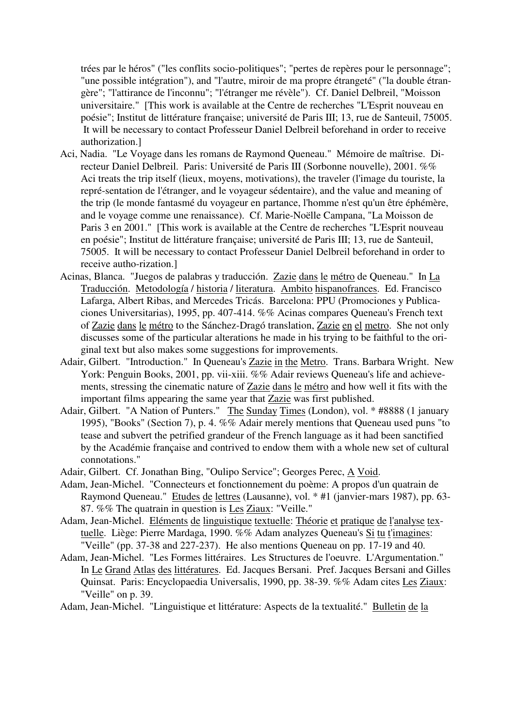trées par le héros" ("les conflits socio-politiques"; "pertes de repères pour le personnage"; "une possible intégration"), and "l'autre, miroir de ma propre étrangeté" ("la double étrangère"; "l'attirance de l'inconnu"; "l'étranger me révèle"). Cf. Daniel Delbreil, "Moisson universitaire." [This work is available at the Centre de recherches "L'Esprit nouveau en poésie"; Institut de littérature française; université de Paris III; 13, rue de Santeuil, 75005. It will be necessary to contact Professeur Daniel Delbreil beforehand in order to receive authorization.]

- Aci, Nadia. "Le Voyage dans les romans de Raymond Queneau." Mémoire de maîtrise. Directeur Daniel Delbreil. Paris: Université de Paris III (Sorbonne nouvelle), 2001. %% Aci treats the trip itself (lieux, moyens, motivations), the traveler (l'image du touriste, la repré-sentation de l'étranger, and le voyageur sédentaire), and the value and meaning of the trip (le monde fantasmé du voyageur en partance, l'homme n'est qu'un être éphémère, and le voyage comme une renaissance). Cf. Marie-Noëlle Campana, "La Moisson de Paris 3 en 2001." [This work is available at the Centre de recherches "L'Esprit nouveau en poésie"; Institut de littérature française; université de Paris III; 13, rue de Santeuil, 75005. It will be necessary to contact Professeur Daniel Delbreil beforehand in order to receive autho-rization.]
- Acinas, Blanca. "Juegos de palabras y traducción. Zazie dans le métro de Queneau." In La Traducción. Metodología / historia / literatura. Ambito hispanofrances. Ed. Francisco Lafarga, Albert Ribas, and Mercedes Tricás. Barcelona: PPU (Promociones y Publicaciones Universitarias), 1995, pp. 407-414. %% Acinas compares Queneau's French text of Zazie dans le métro to the Sánchez-Dragó translation, Zazie en el metro. She not only discusses some of the particular alterations he made in his trying to be faithful to the original text but also makes some suggestions for improvements.
- Adair, Gilbert. "Introduction." In Queneau's Zazie in the Metro. Trans. Barbara Wright. New York: Penguin Books, 2001, pp. vii-xiii. %% Adair reviews Queneau's life and achievements, stressing the cinematic nature of Zazie dans le métro and how well it fits with the important films appearing the same year that Zazie was first published.
- Adair, Gilbert. "A Nation of Punters." The Sunday Times (London), vol. \* #8888 (1 january 1995), "Books" (Section 7), p. 4. %% Adair merely mentions that Queneau used puns "to tease and subvert the petrified grandeur of the French language as it had been sanctified by the Académie française and contrived to endow them with a whole new set of cultural connotations."
- Adair, Gilbert. Cf. Jonathan Bing, "Oulipo Service"; Georges Perec, A Void.
- Adam, Jean-Michel. "Connecteurs et fonctionnement du poème: A propos d'un quatrain de Raymond Queneau." Etudes de lettres (Lausanne), vol. \* #1 (janvier-mars 1987), pp. 63- 87. %% The quatrain in question is Les Ziaux: "Veille."
- Adam, Jean-Michel. Eléments de linguistique textuelle: Théorie et pratique de l'analyse textuelle. Liège: Pierre Mardaga, 1990. %% Adam analyzes Queneau's Si tu t'imagines: "Veille" (pp. 37-38 and 227-237). He also mentions Queneau on pp. 17-19 and 40.
- Adam, Jean-Michel. "Les Formes littéraires. Les Structures de l'oeuvre. L'Argumentation." In Le Grand Atlas des littératures. Ed. Jacques Bersani. Pref. Jacques Bersani and Gilles Quinsat. Paris: Encyclopaedia Universalis, 1990, pp. 38-39. %% Adam cites Les Ziaux: "Veille" on p. 39.

Adam, Jean-Michel. "Linguistique et littérature: Aspects de la textualité." Bulletin de la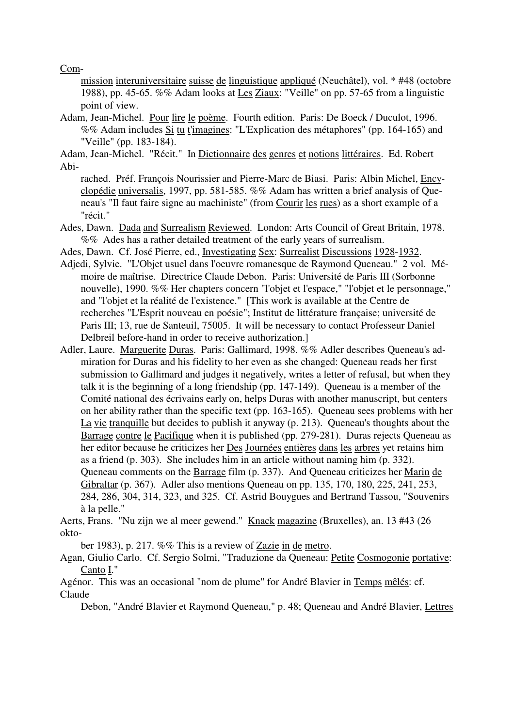Com-

mission interuniversitaire suisse de linguistique appliqué (Neuchâtel), vol. \* #48 (octobre 1988), pp. 45-65. %% Adam looks at Les Ziaux: "Veille" on pp. 57-65 from a linguistic point of view.

Adam, Jean-Michel. Pour lire le poème. Fourth edition. Paris: De Boeck / Duculot, 1996. %% Adam includes Si tu t'imagines: "L'Explication des métaphores" (pp. 164-165) and "Veille" (pp. 183-184).

Adam, Jean-Michel. "Récit." In Dictionnaire des genres et notions littéraires. Ed. Robert Abi-

rached. Préf. François Nourissier and Pierre-Marc de Biasi. Paris: Albin Michel, Encyclopédie universalis, 1997, pp. 581-585. %% Adam has written a brief analysis of Queneau's "Il faut faire signe au machiniste" (from Courir les rues) as a short example of a "récit."

- Ades, Dawn. Dada and Surrealism Reviewed. London: Arts Council of Great Britain, 1978. %% Ades has a rather detailed treatment of the early years of surrealism.
- Ades, Dawn. Cf. José Pierre, ed., Investigating Sex: Surrealist Discussions 1928-1932.
- Adjedi, Sylvie. "L'Objet usuel dans l'oeuvre romanesque de Raymond Queneau." 2 vol. Mémoire de maîtrise. Directrice Claude Debon. Paris: Université de Paris III (Sorbonne nouvelle), 1990. %% Her chapters concern "l'objet et l'espace," "l'objet et le personnage," and "l'objet et la réalité de l'existence." [This work is available at the Centre de recherches "L'Esprit nouveau en poésie"; Institut de littérature française; université de Paris III; 13, rue de Santeuil, 75005. It will be necessary to contact Professeur Daniel Delbreil before-hand in order to receive authorization.]
- Adler, Laure. Marguerite Duras. Paris: Gallimard, 1998. %% Adler describes Queneau's admiration for Duras and his fidelity to her even as she changed: Queneau reads her first submission to Gallimard and judges it negatively, writes a letter of refusal, but when they talk it is the beginning of a long friendship (pp. 147-149). Queneau is a member of the Comité national des écrivains early on, helps Duras with another manuscript, but centers on her ability rather than the specific text (pp. 163-165). Queneau sees problems with her La vie tranquille but decides to publish it anyway (p. 213). Queneau's thoughts about the Barrage contre le Pacifique when it is published (pp. 279-281). Duras rejects Queneau as her editor because he criticizes her Des Journées entières dans les arbres yet retains him as a friend (p. 303). She includes him in an article without naming him (p. 332). Queneau comments on the Barrage film (p. 337). And Queneau criticizes her Marin de Gibraltar (p. 367). Adler also mentions Queneau on pp. 135, 170, 180, 225, 241, 253, 284, 286, 304, 314, 323, and 325. Cf. Astrid Bouygues and Bertrand Tassou, "Souvenirs à la pelle."

Aerts, Frans. "Nu zijn we al meer gewend." Knack magazine (Bruxelles), an. 13 #43 (26 okto-

ber 1983), p. 217. %% This is a review of Zazie in de metro.

Agan, Giulio Carlo. Cf. Sergio Solmi, "Traduzione da Queneau: Petite Cosmogonie portative: Canto I."

Agénor. This was an occasional "nom de plume" for André Blavier in Temps mêlés: cf. Claude

Debon, "André Blavier et Raymond Queneau," p. 48; Queneau and André Blavier, Lettres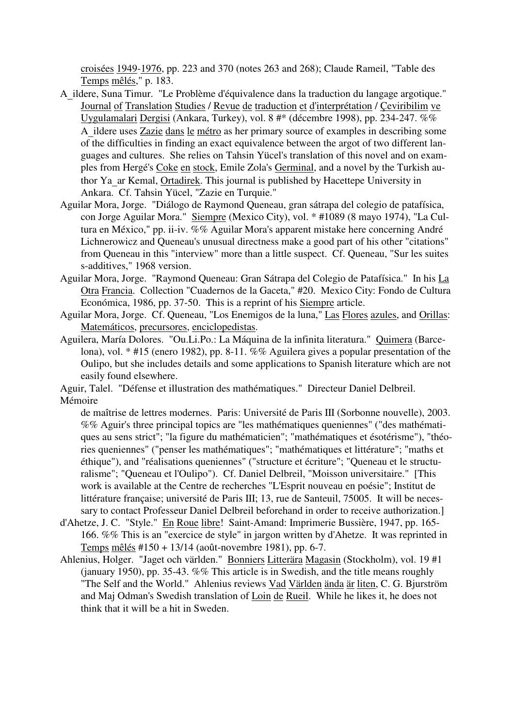croisées 1949-1976, pp. 223 and 370 (notes 263 and 268); Claude Rameil, "Table des Temps mêlés," p. 183.

- <sup>A</sup>\_ildere, Suna Timur. "Le Problème d'équivalence dans la traduction du langage argotique." Journal of Translation Studies / Revue de traduction et d'interprétation / Çeviribilim ve Uygulamalari Dergisi (Ankara, Turkey), vol. 8 #\* (décembre 1998), pp. 234-247. %% <sup>A</sup>\_ildere uses Zazie dans le métro as her primary source of examples in describing some of the difficulties in finding an exact equivalence between the argot of two different languages and cultures. She relies on Tahsin Yücel's translation of this novel and on examples from Hergé's Coke en stock, Emile Zola's Germinal, and a novel by the Turkish author Ya\_ar Kemal, Ortadirek. This journal is published by Hacettepe University in Ankara. Cf. Tahsin Yücel, "Zazie en Turquie."
- Aguilar Mora, Jorge. "Diálogo de Raymond Queneau, gran sátrapa del colegio de patafísica, con Jorge Aguilar Mora." Siempre (Mexico City), vol. \* #1089 (8 mayo 1974), "La Cultura en México," pp. ii-iv. %% Aguilar Mora's apparent mistake here concerning André Lichnerowicz and Queneau's unusual directness make a good part of his other "citations" from Queneau in this "interview" more than a little suspect. Cf. Queneau, "Sur les suites s-additives," 1968 version.
- Aguilar Mora, Jorge. "Raymond Queneau: Gran Sátrapa del Colegio de Patafísica." In his La Otra Francia. Collection "Cuadernos de la Gaceta," #20. Mexico City: Fondo de Cultura Económica, 1986, pp. 37-50. This is a reprint of his Siempre article.
- Aguilar Mora, Jorge. Cf. Queneau, "Los Enemigos de la luna," Las Flores azules, and Orillas: Matemáticos, precursores, enciclopedistas.
- Aguilera, María Dolores. "Ou.Li.Po.: La Máquina de la infinita literatura." Quimera (Barcelona), vol. \* #15 (enero 1982), pp. 8-11. %% Aguilera gives a popular presentation of the Oulipo, but she includes details and some applications to Spanish literature which are not easily found elsewhere.

Aguir, Talel. "Défense et illustration des mathématiques." Directeur Daniel Delbreil. Mémoire

de maîtrise de lettres modernes. Paris: Université de Paris III (Sorbonne nouvelle), 2003. %% Aguir's three principal topics are "les mathématiques queniennes" ("des mathématiques au sens strict"; "la figure du mathématicien"; "mathématiques et ésotérisme"), "théories queniennes" ("penser les mathématiques"; "mathématiques et littérature"; "maths et éthique"), and "réalisations queniennes" ("structure et écriture"; "Queneau et le structuralisme"; "Queneau et l'Oulipo"). Cf. Daniel Delbreil, "Moisson universitaire." [This work is available at the Centre de recherches "L'Esprit nouveau en poésie"; Institut de littérature française; université de Paris III; 13, rue de Santeuil, 75005. It will be necessary to contact Professeur Daniel Delbreil beforehand in order to receive authorization.]

- d'Ahetze, J. C. "Style." En Roue libre! Saint-Amand: Imprimerie Bussière, 1947, pp. 165-166. %% This is an "exercice de style" in jargon written by d'Ahetze. It was reprinted in Temps mêlés #150 + 13/14 (août-novembre 1981), pp. 6-7.
- Ahlenius, Holger. "Jaget och världen." Bonniers Litterära Magasin (Stockholm), vol. 19 #1 (january 1950), pp. 35-43. %% This article is in Swedish, and the title means roughly "The Self and the World." Ahlenius reviews Vad Världen ända är liten, C. G. Bjurström and Maj Odman's Swedish translation of Loin de Rueil. While he likes it, he does not think that it will be a hit in Sweden.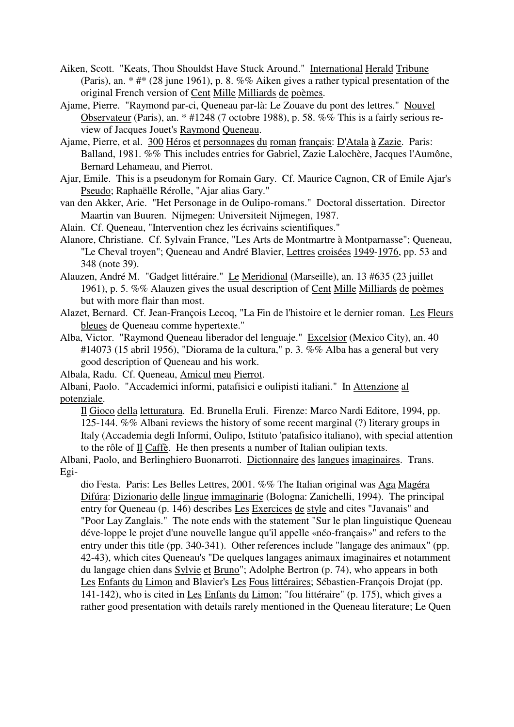- Aiken, Scott. "Keats, Thou Shouldst Have Stuck Around." International Herald Tribune (Paris), an. \* #\* (28 june 1961), p. 8. %% Aiken gives a rather typical presentation of the original French version of Cent Mille Milliards de poèmes.
- Ajame, Pierre. "Raymond par-ci, Queneau par-là: Le Zouave du pont des lettres." Nouvel Observateur (Paris), an. \* #1248 (7 octobre 1988), p. 58. %% This is a fairly serious review of Jacques Jouet's Raymond Queneau.
- Ajame, Pierre, et al. 300 Héros et personnages du roman français: D'Atala à Zazie. Paris: Balland, 1981. %% This includes entries for Gabriel, Zazie Lalochère, Jacques l'Aumône, Bernard Lehameau, and Pierrot.
- Ajar, Emile. This is a pseudonym for Romain Gary. Cf. Maurice Cagnon, CR of Emile Ajar's Pseudo; Raphaëlle Rérolle, "Ajar alias Gary."
- van den Akker, Arie. "Het Personage in de Oulipo-romans." Doctoral dissertation. Director Maartin van Buuren. Nijmegen: Universiteit Nijmegen, 1987.
- Alain. Cf. Queneau, "Intervention chez les écrivains scientifiques."
- Alanore, Christiane. Cf. Sylvain France, "Les Arts de Montmartre à Montparnasse"; Queneau, "Le Cheval troyen"; Queneau and André Blavier, Lettres croisées 1949-1976, pp. 53 and 348 (note 39).
- Alauzen, André M. "Gadget littéraire." Le Meridional (Marseille), an. 13 #635 (23 juillet 1961), p. 5. %% Alauzen gives the usual description of Cent Mille Milliards de poèmes but with more flair than most.
- Alazet, Bernard. Cf. Jean-François Lecoq, "La Fin de l'histoire et le dernier roman. Les Fleurs bleues de Queneau comme hypertexte."
- Alba, Victor. "Raymond Queneau liberador del lenguaje." Excelsior (Mexico City), an. 40 #14073 (15 abril 1956), "Diorama de la cultura," p. 3. %% Alba has a general but very good description of Queneau and his work.
- Albala, Radu. Cf. Queneau, Amicul meu Pierrot.
- Albani, Paolo. "Accademici informi, patafisici e oulipisti italiani." In Attenzione al potenziale.

Il Gioco della letturatura. Ed. Brunella Eruli. Firenze: Marco Nardi Editore, 1994, pp. 125-144. %% Albani reviews the history of some recent marginal (?) literary groups in Italy (Accademia degli Informi, Oulipo, Istituto 'patafisico italiano), with special attention to the rôle of Il Caffè. He then presents a number of Italian oulipian texts.

Albani, Paolo, and Berlinghiero Buonarroti. Dictionnaire des langues imaginaires. Trans. Egi-

dio Festa. Paris: Les Belles Lettres, 2001. %% The Italian original was Aga Magéra Difúra: Dizionario delle lingue immaginarie (Bologna: Zanichelli, 1994). The principal entry for Queneau (p. 146) describes Les Exercices de style and cites "Javanais" and "Poor Lay Zanglais." The note ends with the statement "Sur le plan linguistique Queneau déve-loppe le projet d'une nouvelle langue qu'il appelle «néo-français»" and refers to the entry under this title (pp. 340-341). Other references include "langage des animaux" (pp. 42-43), which cites Queneau's "De quelques langages animaux imaginaires et notamment du langage chien dans Sylvie et Bruno"; Adolphe Bertron (p. 74), who appears in both Les Enfants du Limon and Blavier's Les Fous littéraires; Sébastien-François Drojat (pp. 141-142), who is cited in Les Enfants du Limon; "fou littéraire" (p. 175), which gives a rather good presentation with details rarely mentioned in the Queneau literature; Le Quen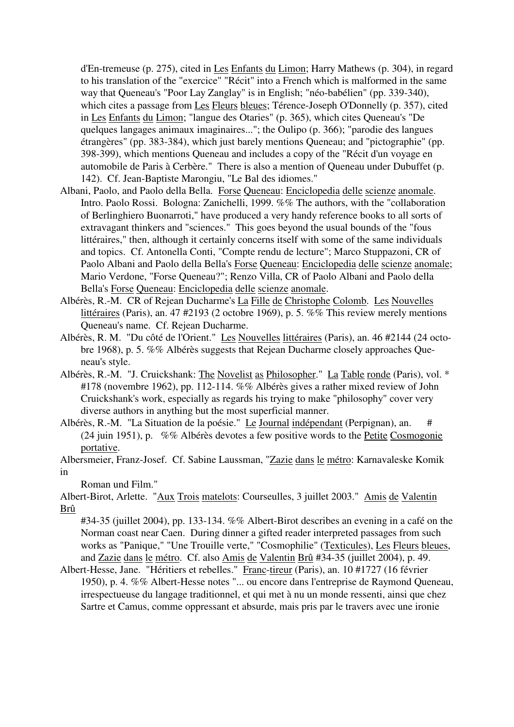d'En-tremeuse (p. 275), cited in Les Enfants du Limon; Harry Mathews (p. 304), in regard to his translation of the "exercice" "Récit" into a French which is malformed in the same way that Queneau's "Poor Lay Zanglay" is in English; "néo-babélien" (pp. 339-340), which cites a passage from Les Fleurs bleues; Térence-Joseph O'Donnelly (p. 357), cited in Les Enfants du Limon; "langue des Otaries" (p. 365), which cites Queneau's "De quelques langages animaux imaginaires..."; the Oulipo (p. 366); "parodie des langues étrangères" (pp. 383-384), which just barely mentions Queneau; and "pictographie" (pp. 398-399), which mentions Queneau and includes a copy of the "Récit d'un voyage en automobile de Paris à Cerbère." There is also a mention of Queneau under Dubuffet (p. 142). Cf. Jean-Baptiste Marongiu, "Le Bal des idiomes."

- Albani, Paolo, and Paolo della Bella. Forse Queneau: Enciclopedia delle scienze anomale. Intro. Paolo Rossi. Bologna: Zanichelli, 1999. %% The authors, with the "collaboration of Berlinghiero Buonarroti," have produced a very handy reference books to all sorts of extravagant thinkers and "sciences." This goes beyond the usual bounds of the "fous littéraires," then, although it certainly concerns itself with some of the same individuals and topics. Cf. Antonella Conti, "Compte rendu de lecture"; Marco Stuppazoni, CR of Paolo Albani and Paolo della Bella's Forse Queneau: Enciclopedia delle scienze anomale; Mario Verdone, "Forse Queneau?"; Renzo Villa, CR of Paolo Albani and Paolo della Bella's Forse Queneau: Enciclopedia delle scienze anomale.
- Albérès, R.-M. CR of Rejean Ducharme's La Fille de Christophe Colomb. Les Nouvelles littéraires (Paris), an. 47 #2193 (2 octobre 1969), p. 5. %% This review merely mentions Queneau's name. Cf. Rejean Ducharme.
- Albérès, R. M. "Du côté de l'Orient." Les Nouvelles littéraires (Paris), an. 46 #2144 (24 octobre 1968), p. 5. %% Albérès suggests that Rejean Ducharme closely approaches Queneau's style.
- Albérès, R.-M. "J. Cruickshank: The Novelist as Philosopher." La Table ronde (Paris), vol. \* #178 (novembre 1962), pp. 112-114. %% Albérès gives a rather mixed review of John Cruickshank's work, especially as regards his trying to make "philosophy" cover very diverse authors in anything but the most superficial manner.
- Albérès, R.-M. "La Situation de la poésie." Le Journal indépendant (Perpignan), an. # (24 juin 1951), p. %% Albérès devotes a few positive words to the Petite Cosmogonie portative.
- Albersmeier, Franz-Josef. Cf. Sabine Laussman, "Zazie dans le métro: Karnavaleske Komik in

Roman und Film."

Albert-Birot, Arlette. "Aux Trois matelots: Courseulles, 3 juillet 2003." Amis de Valentin Brû

#34-35 (juillet 2004), pp. 133-134. %% Albert-Birot describes an evening in a café on the Norman coast near Caen. During dinner a gifted reader interpreted passages from such works as "Panique," "Une Trouille verte," "Cosmophilie" (Texticules), Les Fleurs bleues, and Zazie dans le métro. Cf. also Amis de Valentin Brû #34-35 (juillet 2004), p. 49.

Albert-Hesse, Jane. "Héritiers et rebelles." Franc-tireur (Paris), an. 10 #1727 (16 février 1950), p. 4. %% Albert-Hesse notes "... ou encore dans l'entreprise de Raymond Queneau, irrespectueuse du langage traditionnel, et qui met à nu un monde ressenti, ainsi que chez Sartre et Camus, comme oppressant et absurde, mais pris par le travers avec une ironie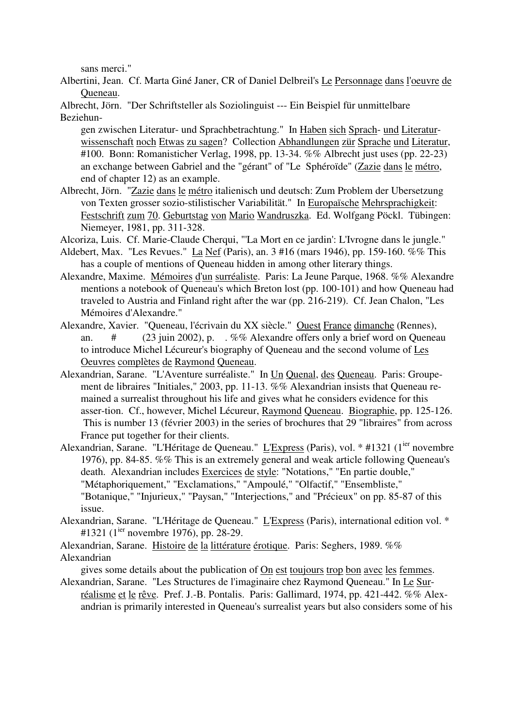sans merci."

Albertini, Jean. Cf. Marta Giné Janer, CR of Daniel Delbreil's Le Personnage dans l'oeuvre de Queneau.

Albrecht, Jörn. "Der Schriftsteller als Soziolinguist --- Ein Beispiel für unmittelbare Beziehun-

gen zwischen Literatur- und Sprachbetrachtung." In Haben sich Sprach- und Literaturwissenschaft noch Etwas zu sagen? Collection Abhandlungen zür Sprache und Literatur, #100. Bonn: Romanisticher Verlag, 1998, pp. 13-34. %% Albrecht just uses (pp. 22-23) an exchange between Gabriel and the "gérant" of "Le Sphéroïde" (Zazie dans le métro, end of chapter 12) as an example.

Albrecht, Jörn. "Zazie dans le métro italienisch und deutsch: Zum Problem der Ubersetzung von Texten grosser sozio-stilistischer Variabilität." In Europaïsche Mehrsprachigkeit: Festschrift zum 70. Geburtstag von Mario Wandruszka. Ed. Wolfgang Pöckl. Tübingen: Niemeyer, 1981, pp. 311-328.

Alcoriza, Luis. Cf. Marie-Claude Cherqui, "'La Mort en ce jardin': L'Ivrogne dans le jungle."

- Aldebert, Max. "Les Revues." La Nef (Paris), an. 3 #16 (mars 1946), pp. 159-160. %% This has a couple of mentions of Queneau hidden in among other literary things.
- Alexandre, Maxime. Mémoires d'un surréaliste. Paris: La Jeune Parque, 1968. %% Alexandre mentions a notebook of Queneau's which Breton lost (pp. 100-101) and how Queneau had traveled to Austria and Finland right after the war (pp. 216-219). Cf. Jean Chalon, "Les Mémoires d'Alexandre."
- Alexandre, Xavier. "Queneau, l'écrivain du XX siècle." Ouest France dimanche (Rennes), an. # (23 juin 2002), p. . %% Alexandre offers only a brief word on Queneau to introduce Michel Lécureur's biography of Queneau and the second volume of Les Oeuvres complètes de Raymond Queneau.
- Alexandrian, Sarane. "L'Aventure surréaliste." In Un Quenal, des Queneau. Paris: Groupement de libraires "Initiales," 2003, pp. 11-13. %% Alexandrian insists that Queneau remained a surrealist throughout his life and gives what he considers evidence for this asser-tion. Cf., however, Michel Lécureur, Raymond Queneau. Biographie, pp. 125-126. This is number 13 (février 2003) in the series of brochures that 29 "libraires" from across France put together for their clients.
- Alexandrian, Sarane. "L'Héritage de Queneau." L'Express (Paris), vol. \* #1321 (1<sup>ier</sup> novembre 1976), pp. 84-85. %% This is an extremely general and weak article following Queneau's death. Alexandrian includes Exercices de style: "Notations," "En partie double," "Métaphoriquement," "Exclamations," "Ampoulé," "Olfactif," "Ensembliste," "Botanique," "Injurieux," "Paysan," "Interjections," and "Précieux" on pp. 85-87 of this issue.
- Alexandrian, Sarane. "L'Héritage de Queneau." L'Express (Paris), international edition vol. \* #1321 ( $1^{ier}$  novembre 1976), pp. 28-29.
- Alexandrian, Sarane. Histoire de la littérature érotique. Paris: Seghers, 1989. %% Alexandrian

gives some details about the publication of On est toujours trop bon avec les femmes. Alexandrian, Sarane. "Les Structures de l'imaginaire chez Raymond Queneau." In Le Sur-

réalisme et le rêve. Pref. J.-B. Pontalis. Paris: Gallimard, 1974, pp. 421-442. %% Alexandrian is primarily interested in Queneau's surrealist years but also considers some of his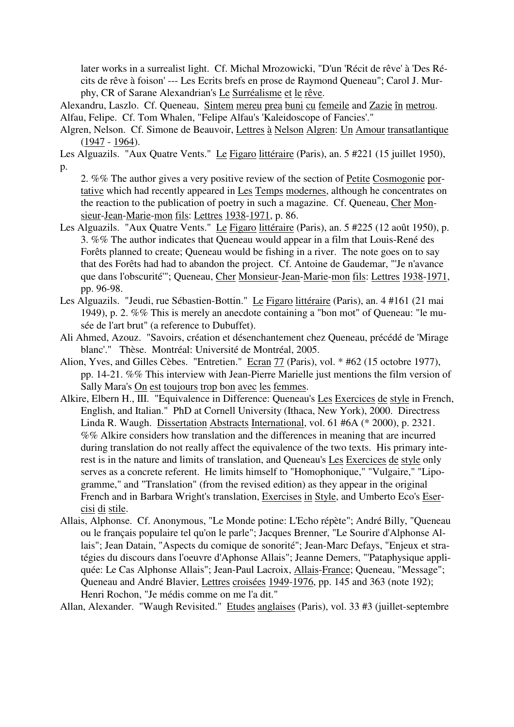later works in a surrealist light. Cf. Michal Mrozowicki, "D'un 'Récit de rêve' à 'Des Récits de rêve à foison' --- Les Ecrits brefs en prose de Raymond Queneau"; Carol J. Murphy, CR of Sarane Alexandrian's Le Surréalisme et le rêve.

Alexandru, Laszlo. Cf. Queneau, Sintem mereu prea buni cu femeile and Zazie în metrou. Alfau, Felipe. Cf. Tom Whalen, "Felipe Alfau's 'Kaleidoscope of Fancies'."

Algren, Nelson. Cf. Simone de Beauvoir, Lettres à Nelson Algren: Un Amour transatlantique (1947 - 1964).

Les Alguazils. "Aux Quatre Vents." Le Figaro littéraire (Paris), an. 5 #221 (15 juillet 1950), p.

2. %% The author gives a very positive review of the section of Petite Cosmogonie portative which had recently appeared in Les Temps modernes, although he concentrates on the reaction to the publication of poetry in such a magazine. Cf. Queneau, Cher Monsieur-Jean-Marie-mon fils: Lettres 1938-1971, p. 86.

- Les Alguazils. "Aux Quatre Vents." Le Figaro littéraire (Paris), an. 5 #225 (12 août 1950), p. 3. %% The author indicates that Queneau would appear in a film that Louis-René des Forêts planned to create; Queneau would be fishing in a river. The note goes on to say that des Forêts had had to abandon the project. Cf. Antoine de Gaudemar, "'Je n'avance que dans l'obscurité'"; Queneau, Cher Monsieur-Jean-Marie-mon fils: Lettres 1938-1971, pp. 96-98.
- Les Alguazils. "Jeudi, rue Sébastien-Bottin." Le Figaro littéraire (Paris), an. 4 #161 (21 mai 1949), p. 2. %% This is merely an anecdote containing a "bon mot" of Queneau: "le musée de l'art brut" (a reference to Dubuffet).
- Ali Ahmed, Azouz. "Savoirs, création et désenchantement chez Queneau, précédé de 'Mirage blanc'." Thèse. Montréal: Université de Montréal, 2005.
- Alion, Yves, and Gilles Cèbes. "Entretien." Ecran 77 (Paris), vol. \* #62 (15 octobre 1977), pp. 14-21. %% This interview with Jean-Pierre Marielle just mentions the film version of Sally Mara's On est toujours trop bon avec les femmes.
- Alkire, Elbern H., III. "Equivalence in Difference: Queneau's Les Exercices de style in French, English, and Italian." PhD at Cornell University (Ithaca, New York), 2000. Directress Linda R. Waugh. Dissertation Abstracts International, vol. 61 #6A (\* 2000), p. 2321. %% Alkire considers how translation and the differences in meaning that are incurred during translation do not really affect the equivalence of the two texts. His primary interest is in the nature and limits of translation, and Queneau's Les Exercices de style only serves as a concrete referent. He limits himself to "Homophonique," "Vulgaire," "Lipogramme," and "Translation" (from the revised edition) as they appear in the original French and in Barbara Wright's translation, Exercises in Style, and Umberto Eco's Esercisi di stile.
- Allais, Alphonse. Cf. Anonymous, "Le Monde potine: L'Echo répète"; André Billy, "Queneau ou le français populaire tel qu'on le parle"; Jacques Brenner, "Le Sourire d'Alphonse Allais"; Jean Datain, "Aspects du comique de sonorité"; Jean-Marc Defays, "Enjeux et stratégies du discours dans l'oeuvre d'Aphonse Allais"; Jeanne Demers, "'Pataphysique appliquée: Le Cas Alphonse Allais"; Jean-Paul Lacroix, Allais-France; Queneau, "Message"; Queneau and André Blavier, Lettres croisées 1949-1976, pp. 145 and 363 (note 192); Henri Rochon, "Je médis comme on me l'a dit."

Allan, Alexander. "Waugh Revisited." Etudes anglaises (Paris), vol. 33 #3 (juillet-septembre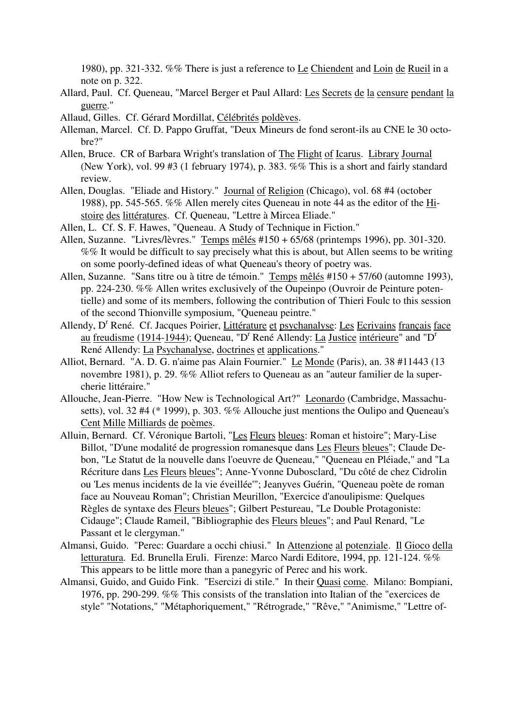1980), pp. 321-332. %% There is just a reference to Le Chiendent and Loin de Rueil in a note on p. 322.

- Allard, Paul. Cf. Queneau, "Marcel Berger et Paul Allard: Les Secrets de la censure pendant la guerre."
- Allaud, Gilles. Cf. Gérard Mordillat, Célébrités poldèves.
- Alleman, Marcel. Cf. D. Pappo Gruffat, "Deux Mineurs de fond seront-ils au CNE le 30 octobre?"
- Allen, Bruce. CR of Barbara Wright's translation of The Flight of Icarus. Library Journal (New York), vol. 99 #3 (1 february 1974), p. 383. %% This is a short and fairly standard review.
- Allen, Douglas. "Eliade and History." Journal of Religion (Chicago), vol. 68 #4 (october 1988), pp. 545-565. %% Allen merely cites Queneau in note 44 as the editor of the Histoire des littératures. Cf. Queneau, "Lettre à Mircea Eliade."
- Allen, L. Cf. S. F. Hawes, "Queneau. A Study of Technique in Fiction."
- Allen, Suzanne. "Livres/lèvres." Temps mêlés #150 + 65/68 (printemps 1996), pp. 301-320. %% It would be difficult to say precisely what this is about, but Allen seems to be writing on some poorly-defined ideas of what Queneau's theory of poetry was.
- Allen, Suzanne. "Sans titre ou à titre de témoin." Temps mêlés #150 + 57/60 (automne 1993), pp. 224-230. %% Allen writes exclusively of the Oupeinpo (Ouvroir de Peinture potentielle) and some of its members, following the contribution of Thieri Foulc to this session of the second Thionville symposium, "Queneau peintre."
- Allendy, D<sup>r</sup> René. Cf. Jacques Poirier, Littérature et psychanalyse: Les Ecrivains français face au freudisme (1914-1944); Queneau, "D<sup>r</sup> René Allendy: La Justice intérieure" and "D<sup>r</sup> René Allendy: La Psychanalyse, doctrines et applications."
- Alliot, Bernard. "A. D. G. n'aime pas Alain Fournier." Le Monde (Paris), an. 38 #11443 (13 novembre 1981), p. 29. %% Alliot refers to Queneau as an "auteur familier de la supercherie littéraire."
- Allouche, Jean-Pierre. "How New is Technological Art?" Leonardo (Cambridge, Massachusetts), vol. 32 #4 (\* 1999), p. 303. %% Allouche just mentions the Oulipo and Queneau's Cent Mille Milliards de poèmes.
- Alluin, Bernard. Cf. Véronique Bartoli, "Les Fleurs bleues: Roman et histoire"; Mary-Lise Billot, "D'une modalité de progression romanesque dans Les Fleurs bleues"; Claude Debon, "Le Statut de la nouvelle dans l'oeuvre de Queneau," "Queneau en Pléiade," and "La Récriture dans Les Fleurs bleues"; Anne-Yvonne Dubosclard, "Du côté de chez Cidrolin ou 'Les menus incidents de la vie éveillée'"; Jeanyves Guérin, "Queneau poète de roman face au Nouveau Roman"; Christian Meurillon, "Exercice d'anoulipisme: Quelques Règles de syntaxe des Fleurs bleues"; Gilbert Pestureau, "Le Double Protagoniste: Cidauge"; Claude Rameil, "Bibliographie des Fleurs bleues"; and Paul Renard, "Le Passant et le clergyman."
- Almansi, Guido. "Perec: Guardare a occhi chiusi." In Attenzione al potenziale. Il Gioco della letturatura. Ed. Brunella Eruli. Firenze: Marco Nardi Editore, 1994, pp. 121-124. %% This appears to be little more than a panegyric of Perec and his work.
- Almansi, Guido, and Guido Fink. "Esercizi di stile." In their Quasi come. Milano: Bompiani, 1976, pp. 290-299. %% This consists of the translation into Italian of the "exercices de style" "Notations," "Métaphoriquement," "Rétrograde," "Rêve," "Animisme," "Lettre of-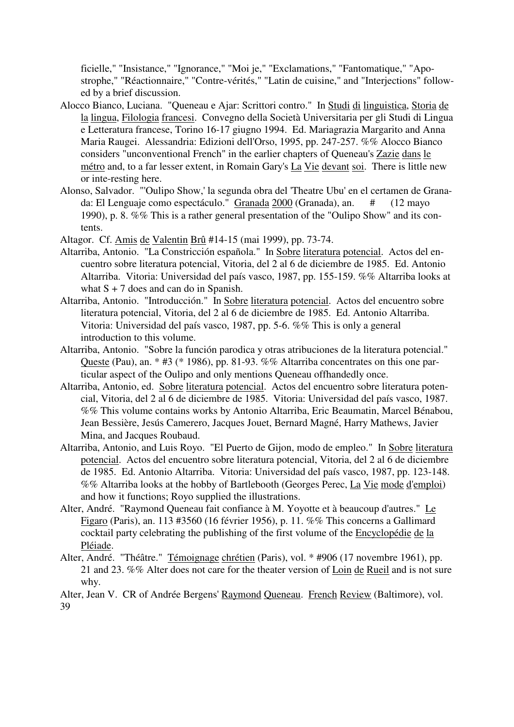ficielle," "Insistance," "Ignorance," "Moi je," "Exclamations," "Fantomatique," "Apostrophe," "Réactionnaire," "Contre-vérités," "Latin de cuisine," and "Interjections" followed by a brief discussion.

- Alocco Bianco, Luciana. "Queneau e Ajar: Scrittori contro." In Studi di linguistica, Storia de la lingua, Filologia francesi. Convegno della Società Universitaria per gli Studi di Lingua e Letteratura francese, Torino 16-17 giugno 1994. Ed. Mariagrazia Margarito and Anna Maria Raugei. Alessandria: Edizioni dell'Orso, 1995, pp. 247-257. %% Alocco Bianco considers "unconventional French" in the earlier chapters of Queneau's Zazie dans le métro and, to a far lesser extent, in Romain Gary's La Vie devant soi. There is little new or inte-resting here.
- Alonso, Salvador. "'Oulipo Show,' la segunda obra del 'Theatre Ubu' en el certamen de Granada: El Lenguaje como espectáculo." Granada 2000 (Granada), an. # (12 mayo 1990), p. 8. %% This is a rather general presentation of the "Oulipo Show" and its contents.
- Altagor. Cf. Amis de Valentin Brû #14-15 (mai 1999), pp. 73-74.
- Altarriba, Antonio. "La Constricción española." In Sobre literatura potencial. Actos del encuentro sobre literatura potencial, Vitoria, del 2 al 6 de diciembre de 1985. Ed. Antonio Altarriba. Vitoria: Universidad del país vasco, 1987, pp. 155-159. %% Altarriba looks at what  $S + 7$  does and can do in Spanish.
- Altarriba, Antonio. "Introducción." In Sobre literatura potencial. Actos del encuentro sobre literatura potencial, Vitoria, del 2 al 6 de diciembre de 1985. Ed. Antonio Altarriba. Vitoria: Universidad del país vasco, 1987, pp. 5-6. %% This is only a general introduction to this volume.
- Altarriba, Antonio. "Sobre la función parodica y otras atribuciones de la literatura potencial." Queste (Pau), an. \* #3 (\* 1986), pp. 81-93. %% Altarriba concentrates on this one particular aspect of the Oulipo and only mentions Queneau offhandedly once.
- Altarriba, Antonio, ed. Sobre literatura potencial. Actos del encuentro sobre literatura potencial, Vitoria, del 2 al 6 de diciembre de 1985. Vitoria: Universidad del país vasco, 1987. %% This volume contains works by Antonio Altarriba, Eric Beaumatin, Marcel Bénabou, Jean Bessière, Jesús Camerero, Jacques Jouet, Bernard Magné, Harry Mathews, Javier Mina, and Jacques Roubaud.
- Altarriba, Antonio, and Luis Royo. "El Puerto de Gijon, modo de empleo." In Sobre literatura potencial. Actos del encuentro sobre literatura potencial, Vitoria, del 2 al 6 de diciembre de 1985. Ed. Antonio Altarriba. Vitoria: Universidad del país vasco, 1987, pp. 123-148. %% Altarriba looks at the hobby of Bartlebooth (Georges Perec, La Vie mode d'emploi) and how it functions; Royo supplied the illustrations.
- Alter, André. "Raymond Queneau fait confiance à M. Yoyotte et à beaucoup d'autres." Le Figaro (Paris), an. 113 #3560 (16 février 1956), p. 11. %% This concerns a Gallimard cocktail party celebrating the publishing of the first volume of the Encyclopédie de la Pléiade.
- Alter, André. "Théâtre." Témoignage chrétien (Paris), vol. \* #906 (17 novembre 1961), pp. 21 and 23. %% Alter does not care for the theater version of Loin de Rueil and is not sure why.

Alter, Jean V. CR of Andrée Bergens' Raymond Queneau. French Review (Baltimore), vol. 39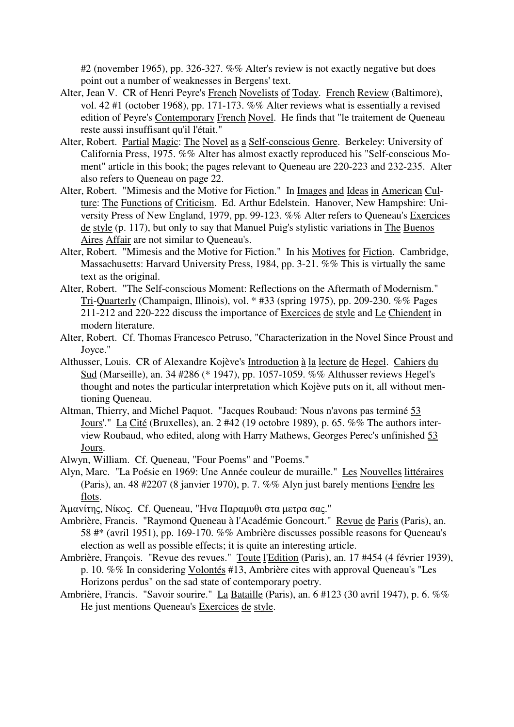#2 (november 1965), pp. 326-327. %% Alter's review is not exactly negative but does point out a number of weaknesses in Bergens' text.

- Alter, Jean V. CR of Henri Peyre's French Novelists of Today. French Review (Baltimore), vol. 42 #1 (october 1968), pp. 171-173. %% Alter reviews what is essentially a revised edition of Peyre's Contemporary French Novel. He finds that "le traitement de Queneau reste aussi insuffisant qu'il l'était."
- Alter, Robert. Partial Magic: The Novel as a Self-conscious Genre. Berkeley: University of California Press, 1975. %% Alter has almost exactly reproduced his "Self-conscious Moment" article in this book; the pages relevant to Queneau are 220-223 and 232-235. Alter also refers to Queneau on page 22.
- Alter, Robert. "Mimesis and the Motive for Fiction." In Images and Ideas in American Culture: The Functions of Criticism. Ed. Arthur Edelstein. Hanover, New Hampshire: University Press of New England, 1979, pp. 99-123. %% Alter refers to Queneau's Exercices de style (p. 117), but only to say that Manuel Puig's stylistic variations in The Buenos Aires Affair are not similar to Queneau's.
- Alter, Robert. "Mimesis and the Motive for Fiction." In his Motives for Fiction. Cambridge, Massachusetts: Harvard University Press, 1984, pp. 3-21. %% This is virtually the same text as the original.
- Alter, Robert. "The Self-conscious Moment: Reflections on the Aftermath of Modernism." Tri-Quarterly (Champaign, Illinois), vol. \* #33 (spring 1975), pp. 209-230. %% Pages 211-212 and 220-222 discuss the importance of Exercices de style and Le Chiendent in modern literature.
- Alter, Robert. Cf. Thomas Francesco Petruso, "Characterization in the Novel Since Proust and Joyce."
- Althusser, Louis. CR of Alexandre Kojève's Introduction à la lecture de Hegel. Cahiers du Sud (Marseille), an. 34 #286 (\* 1947), pp. 1057-1059. %% Althusser reviews Hegel's thought and notes the particular interpretation which Kojève puts on it, all without mentioning Queneau.
- Altman, Thierry, and Michel Paquot. "Jacques Roubaud: 'Nous n'avons pas terminé 53 Jours'." La Cité (Bruxelles), an. 2 #42 (19 octobre 1989), p. 65. %% The authors interview Roubaud, who edited, along with Harry Mathews, Georges Perec's unfinished 53 Jours.
- Alwyn, William. Cf. Queneau, "Four Poems" and "Poems."
- Alyn, Marc. "La Poésie en 1969: Une Année couleur de muraille." Les Nouvelles littéraires (Paris), an. 48 #2207 (8 janvier 1970), p. 7. %% Alyn just barely mentions Fendre les flots.

Άµαvίτης, Νίκoς. Cf. Queneau, "Ηvα Παραµυθι στα µετρα σας."

- Ambrière, Francis. "Raymond Queneau à l'Académie Goncourt." Revue de Paris (Paris), an. 58 #\* (avril 1951), pp. 169-170. %% Ambrière discusses possible reasons for Queneau's election as well as possible effects; it is quite an interesting article.
- Ambrière, François. "Revue des revues." Toute l'Edition (Paris), an. 17 #454 (4 février 1939), p. 10. %% In considering Volontés #13, Ambrière cites with approval Queneau's "Les Horizons perdus" on the sad state of contemporary poetry.
- Ambrière, Francis. "Savoir sourire." La Bataille (Paris), an. 6 #123 (30 avril 1947), p. 6. %% He just mentions Queneau's Exercices de style.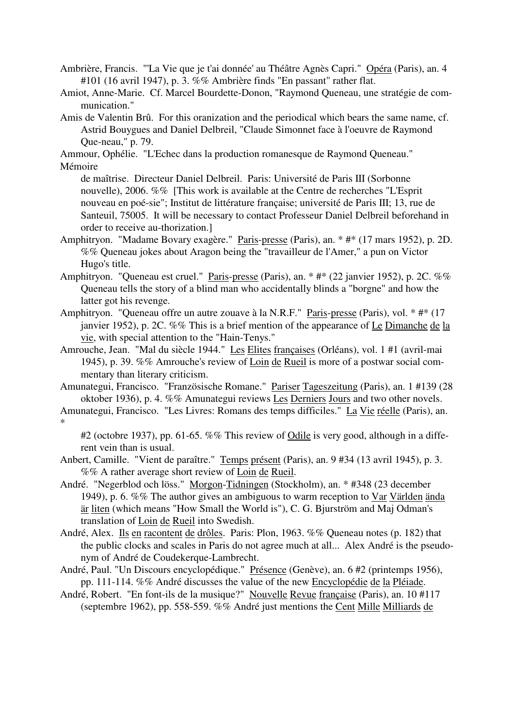- Ambrière, Francis. "'La Vie que je t'ai donnée' au Théâtre Agnès Capri." Opéra (Paris), an. 4 #101 (16 avril 1947), p. 3. %% Ambrière finds "En passant" rather flat.
- Amiot, Anne-Marie. Cf. Marcel Bourdette-Donon, "Raymond Queneau, une stratégie de communication."
- Amis de Valentin Brû. For this oranization and the periodical which bears the same name, cf. Astrid Bouygues and Daniel Delbreil, "Claude Simonnet face à l'oeuvre de Raymond Que-neau," p. 79.

Ammour, Ophélie. "L'Echec dans la production romanesque de Raymond Queneau." Mémoire

- de maîtrise. Directeur Daniel Delbreil. Paris: Université de Paris III (Sorbonne nouvelle), 2006. %% [This work is available at the Centre de recherches "L'Esprit nouveau en poé-sie"; Institut de littérature française; université de Paris III; 13, rue de Santeuil, 75005. It will be necessary to contact Professeur Daniel Delbreil beforehand in order to receive au-thorization.]
- Amphitryon. "Madame Bovary exagère." Paris-presse (Paris), an. \* #\* (17 mars 1952), p. 2D. %% Queneau jokes about Aragon being the "travailleur de l'Amer," a pun on Victor Hugo's title.
- Amphitryon. "Queneau est cruel." Paris-presse (Paris), an. \* #\* (22 janvier 1952), p. 2C. %% Queneau tells the story of a blind man who accidentally blinds a "borgne" and how the latter got his revenge.
- Amphitryon. "Queneau offre un autre zouave à la N.R.F." Paris-presse (Paris), vol. \* #\* (17 janvier 1952), p. 2C. %% This is a brief mention of the appearance of Le Dimanche de la vie, with special attention to the "Hain-Tenys."
- Amrouche, Jean. "Mal du siècle 1944." Les Elites françaises (Orléans), vol. 1 #1 (avril-mai 1945), p. 39. %% Amrouche's review of Loin de Rueil is more of a postwar social commentary than literary criticism.
- Amunategui, Francisco. "Französische Romane." Pariser Tageszeitung (Paris), an. 1 #139 (28 oktober 1936), p. 4. %% Amunategui reviews Les Derniers Jours and two other novels.
- Amunategui, Francisco. "Les Livres: Romans des temps difficiles." La Vie réelle (Paris), an. \*

#2 (octobre 1937), pp. 61-65. %% This review of Odile is very good, although in a different vein than is usual.

- Anbert, Camille. "Vient de paraître." Temps présent (Paris), an. 9 #34 (13 avril 1945), p. 3. %% A rather average short review of Loin de Rueil.
- André. "Negerblod och löss." Morgon-Tidningen (Stockholm), an. \* #348 (23 december 1949), p. 6. %% The author gives an ambiguous to warm reception to Var Världen ända är liten (which means "How Small the World is"), C. G. Bjurström and Maj Odman's translation of Loin de Rueil into Swedish.
- André, Alex. Ils en racontent de drôles. Paris: Plon, 1963. %% Queneau notes (p. 182) that the public clocks and scales in Paris do not agree much at all... Alex André is the pseudonym of André de Coudekerque-Lambrecht.
- André, Paul. "Un Discours encyclopédique." Présence (Genève), an. 6 #2 (printemps 1956), pp. 111-114. %% André discusses the value of the new Encyclopédie de la Pléiade.
- André, Robert. "En font-ils de la musique?" Nouvelle Revue française (Paris), an. 10 #117 (septembre 1962), pp. 558-559. %% André just mentions the Cent Mille Milliards de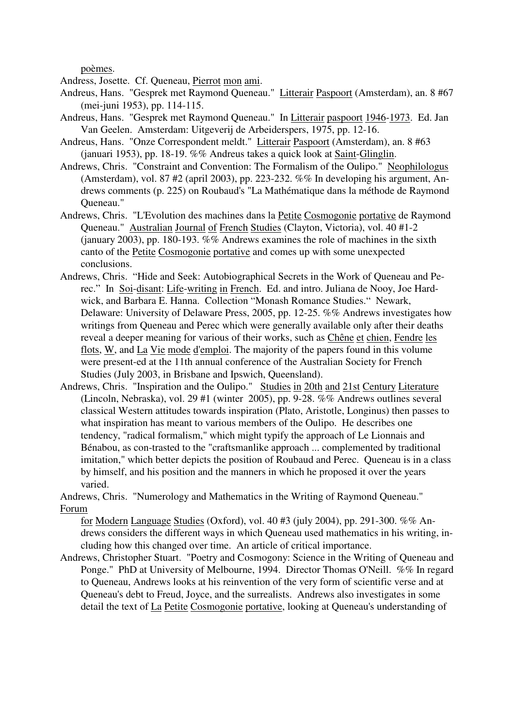poèmes.

Andress, Josette. Cf. Queneau, Pierrot mon ami.

- Andreus, Hans. "Gesprek met Raymond Queneau." Litterair Paspoort (Amsterdam), an. 8 #67 (mei-juni 1953), pp. 114-115.
- Andreus, Hans. "Gesprek met Raymond Queneau." In Litterair paspoort 1946-1973. Ed. Jan Van Geelen. Amsterdam: Uitgeverij de Arbeiderspers, 1975, pp. 12-16.
- Andreus, Hans. "Onze Correspondent meldt." Litterair Paspoort (Amsterdam), an. 8 #63 (januari 1953), pp. 18-19. %% Andreus takes a quick look at Saint-Glinglin.
- Andrews, Chris. "Constraint and Convention: The Formalism of the Oulipo." Neophilologus (Amsterdam), vol. 87 #2 (april 2003), pp. 223-232. %% In developing his argument, Andrews comments (p. 225) on Roubaud's "La Mathématique dans la méthode de Raymond Queneau."
- Andrews, Chris. "L'Evolution des machines dans la Petite Cosmogonie portative de Raymond Queneau." Australian Journal of French Studies (Clayton, Victoria), vol. 40 #1-2 (january 2003), pp. 180-193. %% Andrews examines the role of machines in the sixth canto of the Petite Cosmogonie portative and comes up with some unexpected conclusions.
- Andrews, Chris. "Hide and Seek: Autobiographical Secrets in the Work of Queneau and Perec." In Soi-disant: Life-writing in French. Ed. and intro. Juliana de Nooy, Joe Hardwick, and Barbara E. Hanna. Collection "Monash Romance Studies." Newark, Delaware: University of Delaware Press, 2005, pp. 12-25. %% Andrews investigates how writings from Queneau and Perec which were generally available only after their deaths reveal a deeper meaning for various of their works, such as Chêne et chien, Fendre les flots, W, and La Vie mode d'emploi. The majority of the papers found in this volume were present-ed at the 11th annual conference of the Australian Society for French Studies (July 2003, in Brisbane and Ipswich, Queensland).
- Andrews, Chris. "Inspiration and the Oulipo." Studies in 20th and 21st Century Literature (Lincoln, Nebraska), vol. 29 #1 (winter 2005), pp. 9-28. %% Andrews outlines several classical Western attitudes towards inspiration (Plato, Aristotle, Longinus) then passes to what inspiration has meant to various members of the Oulipo. He describes one tendency, "radical formalism," which might typify the approach of Le Lionnais and Bénabou, as con-trasted to the "craftsmanlike approach ... complemented by traditional imitation," which better depicts the position of Roubaud and Perec. Queneau is in a class by himself, and his position and the manners in which he proposed it over the years varied.

Andrews, Chris. "Numerology and Mathematics in the Writing of Raymond Queneau." Forum

for Modern Language Studies (Oxford), vol. 40 #3 (july 2004), pp. 291-300. %% Andrews considers the different ways in which Queneau used mathematics in his writing, including how this changed over time. An article of critical importance.

Andrews, Christopher Stuart. "Poetry and Cosmogony: Science in the Writing of Queneau and Ponge." PhD at University of Melbourne, 1994. Director Thomas O'Neill. %% In regard to Queneau, Andrews looks at his reinvention of the very form of scientific verse and at Queneau's debt to Freud, Joyce, and the surrealists. Andrews also investigates in some detail the text of La Petite Cosmogonie portative, looking at Queneau's understanding of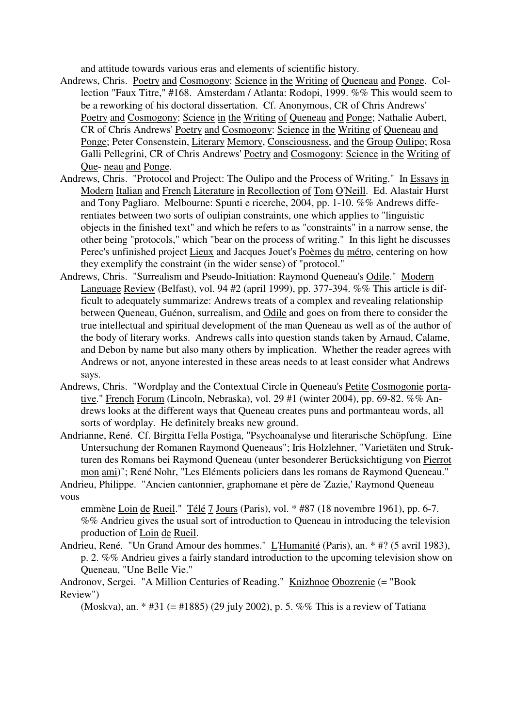and attitude towards various eras and elements of scientific history.

- Andrews, Chris. Poetry and Cosmogony: Science in the Writing of Queneau and Ponge. Collection "Faux Titre," #168. Amsterdam / Atlanta: Rodopi, 1999. %% This would seem to be a reworking of his doctoral dissertation. Cf. Anonymous, CR of Chris Andrews' Poetry and Cosmogony: Science in the Writing of Queneau and Ponge; Nathalie Aubert, CR of Chris Andrews' Poetry and Cosmogony: Science in the Writing of Queneau and Ponge; Peter Consenstein, Literary Memory, Consciousness, and the Group Oulipo; Rosa Galli Pellegrini, CR of Chris Andrews' Poetry and Cosmogony: Science in the Writing of Que- neau and Ponge.
- Andrews, Chris. "Protocol and Project: The Oulipo and the Process of Writing." In Essays in Modern Italian and French Literature in Recollection of Tom O'Neill. Ed. Alastair Hurst and Tony Pagliaro. Melbourne: Spunti e ricerche, 2004, pp. 1-10. %% Andrews differentiates between two sorts of oulipian constraints, one which applies to "linguistic objects in the finished text" and which he refers to as "constraints" in a narrow sense, the other being "protocols," which "bear on the process of writing." In this light he discusses Perec's unfinished project Lieux and Jacques Jouet's Poèmes du métro, centering on how they exemplify the constraint (in the wider sense) of "protocol."
- Andrews, Chris. "Surrealism and Pseudo-Initiation: Raymond Queneau's Odile." Modern Language Review (Belfast), vol. 94 #2 (april 1999), pp. 377-394. %% This article is difficult to adequately summarize: Andrews treats of a complex and revealing relationship between Queneau, Guénon, surrealism, and Odile and goes on from there to consider the true intellectual and spiritual development of the man Queneau as well as of the author of the body of literary works. Andrews calls into question stands taken by Arnaud, Calame, and Debon by name but also many others by implication. Whether the reader agrees with Andrews or not, anyone interested in these areas needs to at least consider what Andrews says.
- Andrews, Chris. "Wordplay and the Contextual Circle in Queneau's Petite Cosmogonie portative." French Forum (Lincoln, Nebraska), vol. 29 #1 (winter 2004), pp. 69-82. %% Andrews looks at the different ways that Queneau creates puns and portmanteau words, all sorts of wordplay. He definitely breaks new ground.
- Andrianne, René. Cf. Birgitta Fella Postiga, "Psychoanalyse und literarische Schöpfung. Eine Untersuchung der Romanen Raymond Queneaus"; Iris Holzlehner, "Varietäten und Strukturen des Romans bei Raymond Queneau (unter besonderer Berücksichtigung von Pierrot mon ami)"; René Nohr, "Les Eléments policiers dans les romans de Raymond Queneau." Andrieu, Philippe. "Ancien cantonnier, graphomane et père de 'Zazie,' Raymond Queneau

vous

emmène Loin de Rueil." Télé 7 Jours (Paris), vol. \* #87 (18 novembre 1961), pp. 6-7. %% Andrieu gives the usual sort of introduction to Queneau in introducing the television production of Loin de Rueil.

Andrieu, René. "Un Grand Amour des hommes." L'Humanité (Paris), an. \* #? (5 avril 1983), p. 2. %% Andrieu gives a fairly standard introduction to the upcoming television show on Queneau, "Une Belle Vie."

Andronov, Sergei. "A Million Centuries of Reading." Knizhnoe Obozrenie (= "Book Review")

(Moskva), an. \* #31 (= #1885) (29 july 2002), p. 5. %% This is a review of Tatiana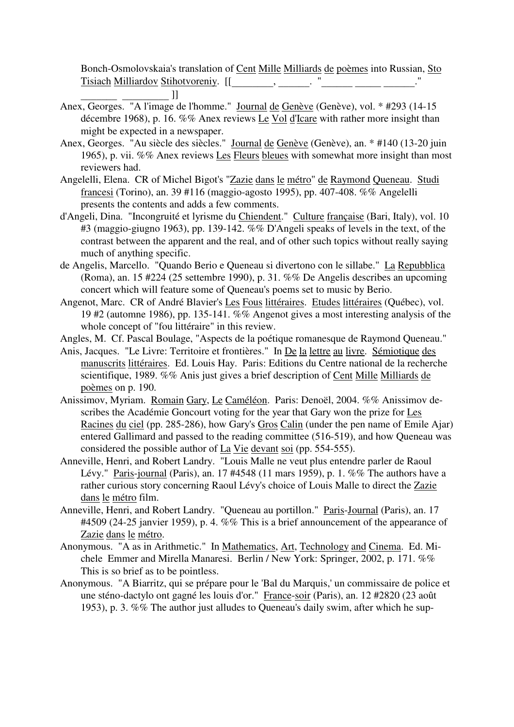Bonch-Osmolovskaia's translation of Cent Mille Milliards de poèmes into Russian, Sto Tisiach Milliardov Stihotvoreniy. [[\_\_\_\_\_\_\_\_, \_\_\_\_\_\_. "\_\_\_\_\_\_ \_\_\_\_\_ \_\_\_\_\_\_."

- Anex, Georges. "A l'image de l'homme." <u>Journal de Genève</u> (Genève), vol. \* #293 (14-15) décembre 1968), p. 16. %% Anex reviews Le Vol d'Icare with rather more insight than might be expected in a newspaper.
- Anex, Georges. "Au siècle des siècles." Journal de Genève (Genève), an. \* #140 (13-20 juin 1965), p. vii. %% Anex reviews Les Fleurs bleues with somewhat more insight than most reviewers had.
- Angelelli, Elena. CR of Michel Bigot's "Zazie dans le métro" de Raymond Queneau. Studi francesi (Torino), an. 39 #116 (maggio-agosto 1995), pp. 407-408. %% Angelelli presents the contents and adds a few comments.
- d'Angeli, Dina. "Incongruité et lyrisme du Chiendent." Culture française (Bari, Italy), vol. 10 #3 (maggio-giugno 1963), pp. 139-142. %% D'Angeli speaks of levels in the text, of the contrast between the apparent and the real, and of other such topics without really saying much of anything specific.
- de Angelis, Marcello. "Quando Berio e Queneau si divertono con le sillabe." La Repubblica (Roma), an. 15 #224 (25 settembre 1990), p. 31. %% De Angelis describes an upcoming concert which will feature some of Queneau's poems set to music by Berio.
- Angenot, Marc. CR of André Blavier's Les Fous littéraires. Etudes littéraires (Québec), vol. 19 #2 (automne 1986), pp. 135-141. %% Angenot gives a most interesting analysis of the whole concept of "fou littéraire" in this review.
- Angles, M. Cf. Pascal Boulage, "Aspects de la poétique romanesque de Raymond Queneau."
- Anis, Jacques. "Le Livre: Territoire et frontières." In De la lettre au livre. Sémiotique des manuscrits littéraires. Ed. Louis Hay. Paris: Editions du Centre national de la recherche scientifique, 1989. %% Anis just gives a brief description of Cent Mille Milliards de poèmes on p. 190.
- Anissimov, Myriam. Romain Gary, Le Caméléon. Paris: Denoël, 2004. %% Anissimov describes the Académie Goncourt voting for the year that Gary won the prize for Les Racines du ciel (pp. 285-286), how Gary's Gros Calin (under the pen name of Emile Ajar) entered Gallimard and passed to the reading committee (516-519), and how Queneau was considered the possible author of La Vie devant soi (pp. 554-555).
- Anneville, Henri, and Robert Landry. "Louis Malle ne veut plus entendre parler de Raoul Lévy." Paris-journal (Paris), an. 17 #4548 (11 mars 1959), p. 1. %% The authors have a rather curious story concerning Raoul Lévy's choice of Louis Malle to direct the Zazie dans le métro film.
- Anneville, Henri, and Robert Landry. "Queneau au portillon." Paris-Journal (Paris), an. 17 #4509 (24-25 janvier 1959), p. 4. %% This is a brief announcement of the appearance of Zazie dans le métro.
- Anonymous. "A as in Arithmetic." In Mathematics, Art, Technology and Cinema. Ed. Michele Emmer and Mirella Manaresi. Berlin / New York: Springer, 2002, p. 171. %% This is so brief as to be pointless.
- Anonymous. "A Biarritz, qui se prépare pour le 'Bal du Marquis,' un commissaire de police et une sténo-dactylo ont gagné les louis d'or." France-soir (Paris), an. 12 #2820 (23 août 1953), p. 3. %% The author just alludes to Queneau's daily swim, after which he sup-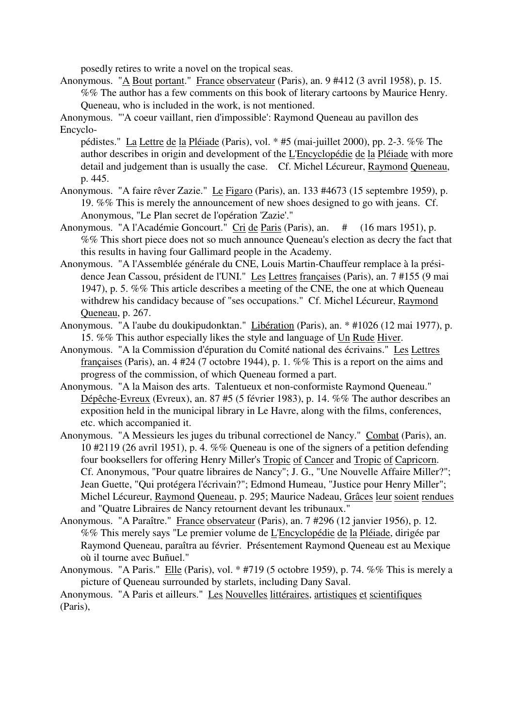posedly retires to write a novel on the tropical seas.

Anonymous. "A Bout portant." France observateur (Paris), an. 9 #412 (3 avril 1958), p. 15. %% The author has a few comments on this book of literary cartoons by Maurice Henry. Queneau, who is included in the work, is not mentioned.

Anonymous. "'A coeur vaillant, rien d'impossible': Raymond Queneau au pavillon des Encyclo-

pédistes." La Lettre de la Pléiade (Paris), vol. \* #5 (mai-juillet 2000), pp. 2-3. %% The author describes in origin and development of the L'Encyclopédie de la Pléiade with more detail and judgement than is usually the case. Cf. Michel Lécureur, Raymond Queneau, p. 445.

- Anonymous. "A faire rêver Zazie." Le Figaro (Paris), an. 133 #4673 (15 septembre 1959), p. 19. %% This is merely the announcement of new shoes designed to go with jeans. Cf. Anonymous, "Le Plan secret de l'opération 'Zazie'."
- Anonymous. "A l'Académie Goncourt." Cri de Paris (Paris), an. # (16 mars 1951), p. %% This short piece does not so much announce Queneau's election as decry the fact that this results in having four Gallimard people in the Academy.
- Anonymous. "A l'Assemblée générale du CNE, Louis Martin-Chauffeur remplace à la présidence Jean Cassou, président de l'UNI." Les Lettres françaises (Paris), an. 7 #155 (9 mai 1947), p. 5. %% This article describes a meeting of the CNE, the one at which Queneau withdrew his candidacy because of "ses occupations." Cf. Michel Lécureur, Raymond Queneau, p. 267.
- Anonymous. "A l'aube du doukipudonktan." Libération (Paris), an. \* #1026 (12 mai 1977), p. 15. %% This author especially likes the style and language of Un Rude Hiver.
- Anonymous. "A la Commission d'épuration du Comité national des écrivains." Les Lettres françaises (Paris), an. 4 #24 (7 octobre 1944), p. 1. %% This is a report on the aims and progress of the commission, of which Queneau formed a part.
- Anonymous. "A la Maison des arts. Talentueux et non-conformiste Raymond Queneau." Dépêche-Evreux (Evreux), an. 87 #5 (5 février 1983), p. 14. %% The author describes an exposition held in the municipal library in Le Havre, along with the films, conferences, etc. which accompanied it.
- Anonymous. "A Messieurs les juges du tribunal correctionel de Nancy." Combat (Paris), an. 10 #2119 (26 avril 1951), p. 4. %% Queneau is one of the signers of a petition defending four booksellers for offering Henry Miller's Tropic of Cancer and Tropic of Capricorn. Cf. Anonymous, "Pour quatre libraires de Nancy"; J. G., "Une Nouvelle Affaire Miller?"; Jean Guette, "Qui protégera l'écrivain?"; Edmond Humeau, "Justice pour Henry Miller"; Michel Lécureur, Raymond Queneau, p. 295; Maurice Nadeau, Grâces leur soient rendues and "Quatre Libraires de Nancy retournent devant les tribunaux."
- Anonymous. "A Paraître." France observateur (Paris), an. 7 #296 (12 janvier 1956), p. 12. %% This merely says "Le premier volume de L'Encyclopédie de la Pléiade, dirigée par Raymond Queneau, paraîtra au février. Présentement Raymond Queneau est au Mexique où il tourne avec Buñuel."
- Anonymous. "A Paris." Elle (Paris), vol. \* #719 (5 octobre 1959), p. 74. %% This is merely a picture of Queneau surrounded by starlets, including Dany Saval.

Anonymous. "A Paris et ailleurs." Les Nouvelles littéraires, artistiques et scientifiques (Paris),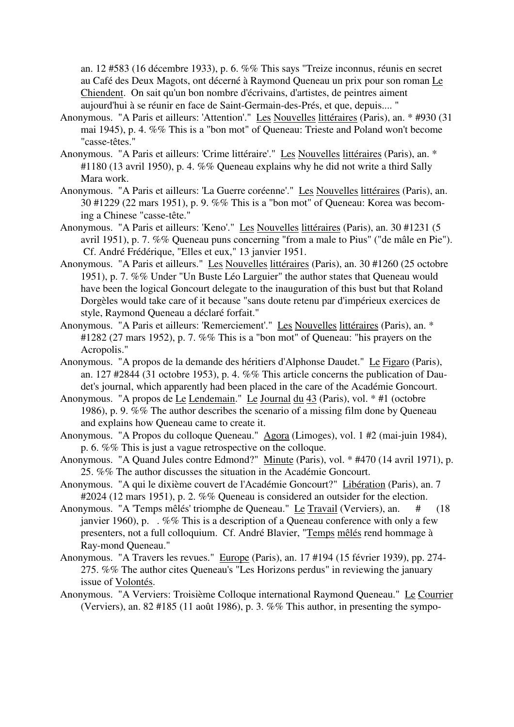an. 12 #583 (16 décembre 1933), p. 6. %% This says "Treize inconnus, réunis en secret au Café des Deux Magots, ont décerné à Raymond Queneau un prix pour son roman Le Chiendent. On sait qu'un bon nombre d'écrivains, d'artistes, de peintres aiment aujourd'hui à se réunir en face de Saint-Germain-des-Prés, et que, depuis.... "

- Anonymous. "A Paris et ailleurs: 'Attention'." Les Nouvelles littéraires (Paris), an. \* #930 (31 mai 1945), p. 4. %% This is a "bon mot" of Queneau: Trieste and Poland won't become "casse-têtes."
- Anonymous. "A Paris et ailleurs: 'Crime littéraire'." Les Nouvelles littéraires (Paris), an. \* #1180 (13 avril 1950), p. 4. %% Queneau explains why he did not write a third Sally Mara work.
- Anonymous. "A Paris et ailleurs: 'La Guerre coréenne'." Les Nouvelles littéraires (Paris), an. 30 #1229 (22 mars 1951), p. 9. %% This is a "bon mot" of Queneau: Korea was becoming a Chinese "casse-tête."
- Anonymous. "A Paris et ailleurs: 'Keno'." Les Nouvelles littéraires (Paris), an. 30 #1231 (5 avril 1951), p. 7. %% Queneau puns concerning "from a male to Pius" ("de mâle en Pie"). Cf. André Frédérique, "Elles et eux," 13 janvier 1951.
- Anonymous. "A Paris et ailleurs." Les Nouvelles littéraires (Paris), an. 30 #1260 (25 octobre 1951), p. 7. %% Under "Un Buste Léo Larguier" the author states that Queneau would have been the logical Goncourt delegate to the inauguration of this bust but that Roland Dorgèles would take care of it because "sans doute retenu par d'impérieux exercices de style, Raymond Queneau a déclaré forfait."
- Anonymous. "A Paris et ailleurs: 'Remerciement'." Les Nouvelles littéraires (Paris), an. \* #1282 (27 mars 1952), p. 7. %% This is a "bon mot" of Queneau: "his prayers on the Acropolis."
- Anonymous. "A propos de la demande des héritiers d'Alphonse Daudet." Le Figaro (Paris), an. 127 #2844 (31 octobre 1953), p. 4. %% This article concerns the publication of Daudet's journal, which apparently had been placed in the care of the Académie Goncourt.
- Anonymous. "A propos de Le Lendemain." Le Journal du 43 (Paris), vol. \* #1 (octobre 1986), p. 9. %% The author describes the scenario of a missing film done by Queneau and explains how Queneau came to create it.
- Anonymous. "A Propos du colloque Queneau." Agora (Limoges), vol. 1 #2 (mai-juin 1984), p. 6. %% This is just a vague retrospective on the colloque.
- Anonymous. "A Quand Jules contre Edmond?" Minute (Paris), vol. \* #470 (14 avril 1971), p. 25. %% The author discusses the situation in the Académie Goncourt.
- Anonymous. "A qui le dixième couvert de l'Académie Goncourt?" Libération (Paris), an. 7 #2024 (12 mars 1951), p. 2. %% Queneau is considered an outsider for the election.
- Anonymous. "A 'Temps mêlés' triomphe de Queneau." Le Travail (Verviers), an. # (18 janvier 1960), p. . %% This is a description of a Queneau conference with only a few presenters, not a full colloquium. Cf. André Blavier, "Temps mêlés rend hommage à Ray-mond Queneau."
- Anonymous. "A Travers les revues." Europe (Paris), an. 17 #194 (15 février 1939), pp. 274- 275. %% The author cites Queneau's "Les Horizons perdus" in reviewing the january issue of Volontés.
- Anonymous. "A Verviers: Troisième Colloque international Raymond Queneau." Le Courrier (Verviers), an. 82 #185 (11 août 1986), p. 3. %% This author, in presenting the sympo-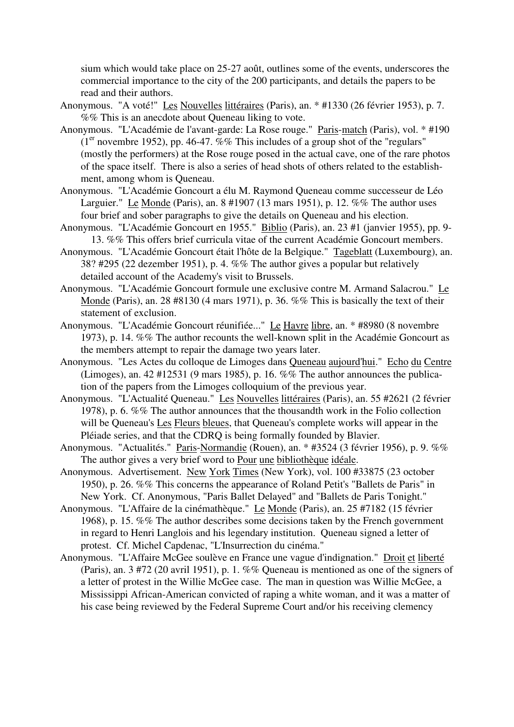sium which would take place on 25-27 août, outlines some of the events, underscores the commercial importance to the city of the 200 participants, and details the papers to be read and their authors.

- Anonymous. "A voté!" Les Nouvelles littéraires (Paris), an. \* #1330 (26 février 1953), p. 7. %% This is an anecdote about Queneau liking to vote.
- Anonymous. "L'Académie de l'avant-garde: La Rose rouge." Paris-match (Paris), vol. \* #190  $(1<sup>er</sup>$  novembre 1952), pp. 46-47. %% This includes of a group shot of the "regulars" (mostly the performers) at the Rose rouge posed in the actual cave, one of the rare photos of the space itself. There is also a series of head shots of others related to the establishment, among whom is Queneau.
- Anonymous. "L'Académie Goncourt a élu M. Raymond Queneau comme successeur de Léo Larguier." Le Monde (Paris), an. 8 #1907 (13 mars 1951), p. 12. %% The author uses four brief and sober paragraphs to give the details on Queneau and his election.
- Anonymous. "L'Académie Goncourt en 1955." Biblio (Paris), an. 23 #1 (janvier 1955), pp. 9- 13. %% This offers brief curricula vitae of the current Académie Goncourt members.
- Anonymous. "L'Académie Goncourt était l'hôte de la Belgique." Tageblatt (Luxembourg), an. 38? #295 (22 dezember 1951), p. 4. %% The author gives a popular but relatively detailed account of the Academy's visit to Brussels.
- Anonymous. "L'Académie Goncourt formule une exclusive contre M. Armand Salacrou." Le Monde (Paris), an. 28 #8130 (4 mars 1971), p. 36. %% This is basically the text of their statement of exclusion.
- Anonymous. "L'Académie Goncourt réunifiée..." Le Havre libre, an. \* #8980 (8 novembre 1973), p. 14. %% The author recounts the well-known split in the Académie Goncourt as the members attempt to repair the damage two years later.
- Anonymous. "Les Actes du colloque de Limoges dans Queneau aujourd'hui." Echo du Centre (Limoges), an. 42 #12531 (9 mars 1985), p. 16. %% The author announces the publication of the papers from the Limoges colloquium of the previous year.
- Anonymous. "L'Actualité Queneau." Les Nouvelles littéraires (Paris), an. 55 #2621 (2 février 1978), p. 6. %% The author announces that the thousandth work in the Folio collection will be Queneau's Les Fleurs bleues, that Queneau's complete works will appear in the Pléiade series, and that the CDRQ is being formally founded by Blavier.
- Anonymous. "Actualités." Paris-Normandie (Rouen), an. \* #3524 (3 février 1956), p. 9. %% The author gives a very brief word to Pour une bibliothèque idéale.
- Anonymous. Advertisement. New York Times (New York), vol. 100 #33875 (23 october 1950), p. 26. %% This concerns the appearance of Roland Petit's "Ballets de Paris" in New York. Cf. Anonymous, "Paris Ballet Delayed" and "Ballets de Paris Tonight."
- Anonymous. "L'Affaire de la cinémathèque." Le Monde (Paris), an. 25 #7182 (15 février 1968), p. 15. %% The author describes some decisions taken by the French government in regard to Henri Langlois and his legendary institution. Queneau signed a letter of protest. Cf. Michel Capdenac, "L'Insurrection du cinéma."
- Anonymous. "L'Affaire McGee soulève en France une vague d'indignation." Droit et liberté (Paris), an. 3 #72 (20 avril 1951), p. 1. %% Queneau is mentioned as one of the signers of a letter of protest in the Willie McGee case. The man in question was Willie McGee, a Mississippi African-American convicted of raping a white woman, and it was a matter of his case being reviewed by the Federal Supreme Court and/or his receiving clemency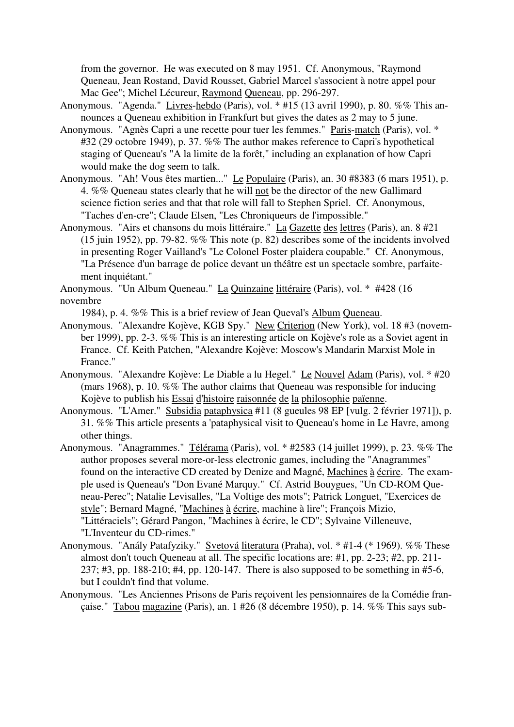from the governor. He was executed on 8 may 1951. Cf. Anonymous, "Raymond Queneau, Jean Rostand, David Rousset, Gabriel Marcel s'associent à notre appel pour Mac Gee"; Michel Lécureur, Raymond Queneau, pp. 296-297.

- Anonymous. "Agenda." Livres-hebdo (Paris), vol. \* #15 (13 avril 1990), p. 80. %% This announces a Queneau exhibition in Frankfurt but gives the dates as 2 may to 5 june.
- Anonymous. "Agnès Capri a une recette pour tuer les femmes." Paris-match (Paris), vol. \* #32 (29 octobre 1949), p. 37. %% The author makes reference to Capri's hypothetical staging of Queneau's "A la limite de la forêt," including an explanation of how Capri would make the dog seem to talk.
- Anonymous. "Ah! Vous êtes martien..." Le Populaire (Paris), an. 30 #8383 (6 mars 1951), p. 4. %% Queneau states clearly that he will not be the director of the new Gallimard science fiction series and that that role will fall to Stephen Spriel. Cf. Anonymous, "Taches d'en-cre"; Claude Elsen, "Les Chroniqueurs de l'impossible."
- Anonymous. "Airs et chansons du mois littéraire." La Gazette des lettres (Paris), an. 8 #21 (15 juin 1952), pp. 79-82. %% This note (p. 82) describes some of the incidents involved in presenting Roger Vailland's "Le Colonel Foster plaidera coupable." Cf. Anonymous, "La Présence d'un barrage de police devant un théâtre est un spectacle sombre, parfaitement inquiétant."
- Anonymous. "Un Album Queneau." La Quinzaine littéraire (Paris), vol. \* #428 (16 novembre
	- 1984), p. 4. %% This is a brief review of Jean Queval's Album Queneau.
- Anonymous. "Alexandre Kojève, KGB Spy." New Criterion (New York), vol. 18 #3 (november 1999), pp. 2-3. %% This is an interesting article on Kojève's role as a Soviet agent in France. Cf. Keith Patchen, "Alexandre Kojève: Moscow's Mandarin Marxist Mole in France."
- Anonymous. "Alexandre Kojève: Le Diable a lu Hegel." Le Nouvel Adam (Paris), vol. \* #20 (mars 1968), p. 10. %% The author claims that Queneau was responsible for inducing Kojève to publish his Essai d'histoire raisonnée de la philosophie païenne.
- Anonymous. "L'Amer." Subsidia pataphysica #11 (8 gueules 98 EP [vulg. 2 février 1971]), p. 31. %% This article presents a 'pataphysical visit to Queneau's home in Le Havre, among other things.
- Anonymous. "Anagrammes." Télérama (Paris), vol. \* #2583 (14 juillet 1999), p. 23. %% The author proposes several more-or-less electronic games, including the "Anagrammes" found on the interactive CD created by Denize and Magné, Machines à écrire. The example used is Queneau's "Don Evané Marquy." Cf. Astrid Bouygues, "Un CD-ROM Queneau-Perec"; Natalie Levisalles, "La Voltige des mots"; Patrick Longuet, "Exercices de style"; Bernard Magné, "Machines à écrire, machine à lire"; François Mizio, "Littéraciels"; Gérard Pangon, "Machines à écrire, le CD"; Sylvaine Villeneuve, "L'Inventeur du CD-rimes."
- Anonymous. "Anály Patafyziky." Svetová literatura (Praha), vol. \* #1-4 (\* 1969). %% These almost don't touch Queneau at all. The specific locations are: #1, pp. 2-23; #2, pp. 211- 237; #3, pp. 188-210; #4, pp. 120-147. There is also supposed to be something in #5-6, but I couldn't find that volume.
- Anonymous. "Les Anciennes Prisons de Paris reçoivent les pensionnaires de la Comédie française." Tabou magazine (Paris), an. 1 #26 (8 décembre 1950), p. 14. %% This says sub-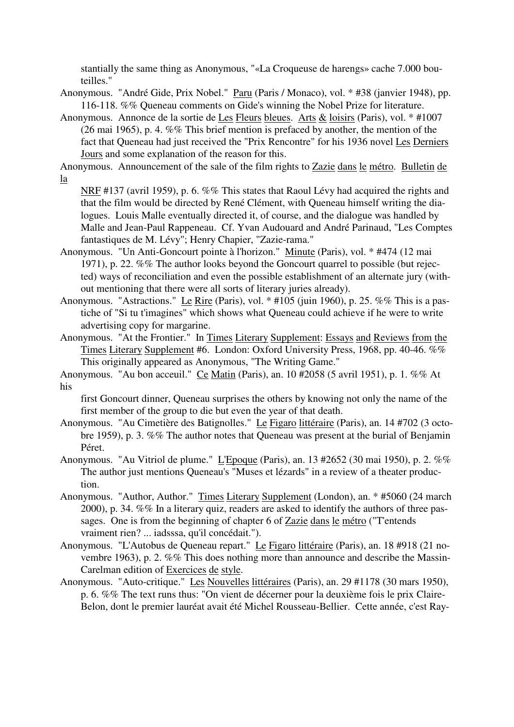stantially the same thing as Anonymous, "«La Croqueuse de harengs» cache 7.000 bouteilles."

- Anonymous. "André Gide, Prix Nobel." Paru (Paris / Monaco), vol. \* #38 (janvier 1948), pp. 116-118. %% Queneau comments on Gide's winning the Nobel Prize for literature.
- Anonymous. Annonce de la sortie de Les Fleurs bleues. Arts & loisirs (Paris), vol. \* #1007 (26 mai 1965), p. 4. %% This brief mention is prefaced by another, the mention of the fact that Queneau had just received the "Prix Rencontre" for his 1936 novel Les Derniers Jours and some explanation of the reason for this.

Anonymous. Announcement of the sale of the film rights to Zazie dans le métro. Bulletin de la

NRF #137 (avril 1959), p. 6. %% This states that Raoul Lévy had acquired the rights and that the film would be directed by René Clément, with Queneau himself writing the dialogues. Louis Malle eventually directed it, of course, and the dialogue was handled by Malle and Jean-Paul Rappeneau. Cf. Yvan Audouard and André Parinaud, "Les Comptes fantastiques de M. Lévy"; Henry Chapier, "Zazie-rama."

Anonymous. "Un Anti-Goncourt pointe à l'horizon." Minute (Paris), vol. \* #474 (12 mai 1971), p. 22. %% The author looks beyond the Goncourt quarrel to possible (but rejected) ways of reconciliation and even the possible establishment of an alternate jury (without mentioning that there were all sorts of literary juries already).

Anonymous. "Astractions." Le Rire (Paris), vol. \* #105 (juin 1960), p. 25. %% This is a pastiche of "Si tu t'imagines" which shows what Queneau could achieve if he were to write advertising copy for margarine.

Anonymous. "At the Frontier." In Times Literary Supplement: Essays and Reviews from the Times Literary Supplement #6. London: Oxford University Press, 1968, pp. 40-46. %% This originally appeared as Anonymous, "The Writing Game."

Anonymous. "Au bon acceuil." Ce Matin (Paris), an. 10 #2058 (5 avril 1951), p. 1. %% At his

first Goncourt dinner, Queneau surprises the others by knowing not only the name of the first member of the group to die but even the year of that death.

Anonymous. "Au Cimetière des Batignolles." Le Figaro littéraire (Paris), an. 14 #702 (3 octobre 1959), p. 3. %% The author notes that Queneau was present at the burial of Benjamin Péret.

Anonymous. "Au Vitriol de plume." L'Epoque (Paris), an. 13 #2652 (30 mai 1950), p. 2. %% The author just mentions Queneau's "Muses et lézards" in a review of a theater production.

- Anonymous. "Author, Author." Times Literary Supplement (London), an. \* #5060 (24 march 2000), p. 34. %% In a literary quiz, readers are asked to identify the authors of three passages. One is from the beginning of chapter 6 of Zazie dans le métro ("T'entends vraiment rien? ... iadsssa, qu'il concédait.").
- Anonymous. "L'Autobus de Queneau repart." Le Figaro littéraire (Paris), an. 18 #918 (21 novembre 1963), p. 2. %% This does nothing more than announce and describe the Massin-Carelman edition of Exercices de style.
- Anonymous. "Auto-critique." Les Nouvelles littéraires (Paris), an. 29 #1178 (30 mars 1950), p. 6. %% The text runs thus: "On vient de décerner pour la deuxième fois le prix Claire-Belon, dont le premier lauréat avait été Michel Rousseau-Bellier. Cette année, c'est Ray-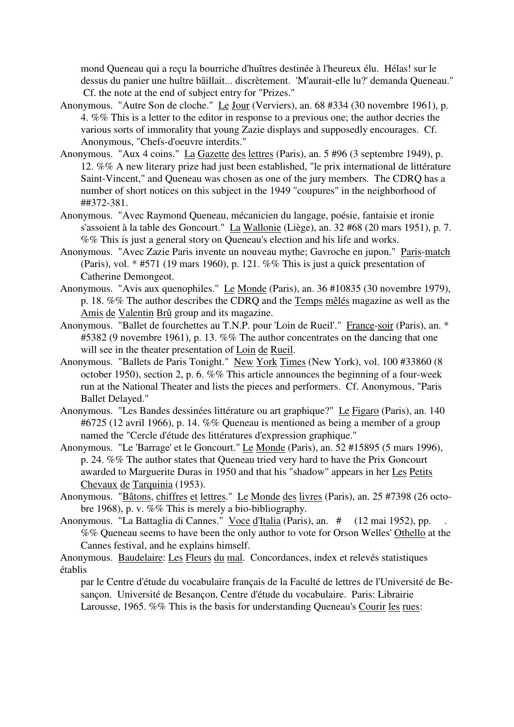mond Queneau qui a reçu la bourriche d'huîtres destinée à l'heureux élu. Hélas! sur le dessus du panier une huître bâillait... discrètement. 'M'aurait-elle lu?' demanda Queneau." Cf. the note at the end of subject entry for "Prizes."

- Anonymous. "Autre Son de cloche." Le Jour (Verviers), an. 68 #334 (30 novembre 1961), p. 4. %% This is a letter to the editor in response to a previous one; the author decries the various sorts of immorality that young Zazie displays and supposedly encourages. Cf. Anonymous, "Chefs-d'oeuvre interdits."
- Anonymous. "Aux 4 coins." La Gazette des lettres (Paris), an. 5 #96 (3 septembre 1949), p. 12. %% A new literary prize had just been established, "le prix international de littérature Saint-Vincent," and Queneau was chosen as one of the jury members. The CDRQ has a number of short notices on this subject in the 1949 "coupures" in the neighborhood of ##372-381.
- Anonymous. "Avec Raymond Queneau, mécanicien du langage, poésie, fantaisie et ironie s'assoient à la table des Goncourt." La Wallonie (Liège), an. 32 #68 (20 mars 1951), p. 7. %% This is just a general story on Queneau's election and his life and works.
- Anonymous. "Avec Zazie Paris invente un nouveau mythe; Gavroche en jupon." Paris-match (Paris), vol. \* #571 (19 mars 1960), p. 121. %% This is just a quick presentation of Catherine Demongeot.
- Anonymous. "Avis aux quenophiles." Le Monde (Paris), an. 36 #10835 (30 novembre 1979), p. 18. %% The author describes the CDRQ and the Temps mêlés magazine as well as the Amis de Valentin Brû group and its magazine.
- Anonymous. "Ballet de fourchettes au T.N.P. pour 'Loin de Rueil'." France-soir (Paris), an. \* #5382 (9 novembre 1961), p. 13. %% The author concentrates on the dancing that one will see in the theater presentation of Loin de Rueil.
- Anonymous. "Ballets de Paris Tonight." New York Times (New York), vol. 100 #33860 (8 october 1950), section 2, p. 6. %% This article announces the beginning of a four-week run at the National Theater and lists the pieces and performers. Cf. Anonymous, "Paris Ballet Delayed."
- Anonymous. "Les Bandes dessinées littérature ou art graphique?" Le Figaro (Paris), an. 140 #6725 (12 avril 1966), p. 14. %% Queneau is mentioned as being a member of a group named the "Cercle d'étude des littératures d'expression graphique."
- Anonymous. "Le 'Barrage' et le Goncourt." Le Monde (Paris), an. 52 #15895 (5 mars 1996), p. 24. %% The author states that Queneau tried very hard to have the Prix Goncourt awarded to Marguerite Duras in 1950 and that his "shadow" appears in her Les Petits Chevaux de Tarquinia (1953).
- Anonymous. "Bâtons, chiffres et lettres." Le Monde des livres (Paris), an. 25 #7398 (26 octobre 1968), p. v. %% This is merely a bio-bibliography.
- Anonymous. "La Battaglia di Cannes." Voce d'Italia (Paris), an. # (12 mai 1952), pp. . %% Queneau seems to have been the only author to vote for Orson Welles' Othello at the Cannes festival, and he explains himself.

Anonymous. Baudelaire: Les Fleurs du mal. Concordances, index et relevés statistiques établis

par le Centre d'étude du vocabulaire français de la Faculté de lettres de l'Université de Besançon. Université de Besançon, Centre d'étude du vocabulaire. Paris: Librairie Larousse, 1965. %% This is the basis for understanding Queneau's Courir les rues: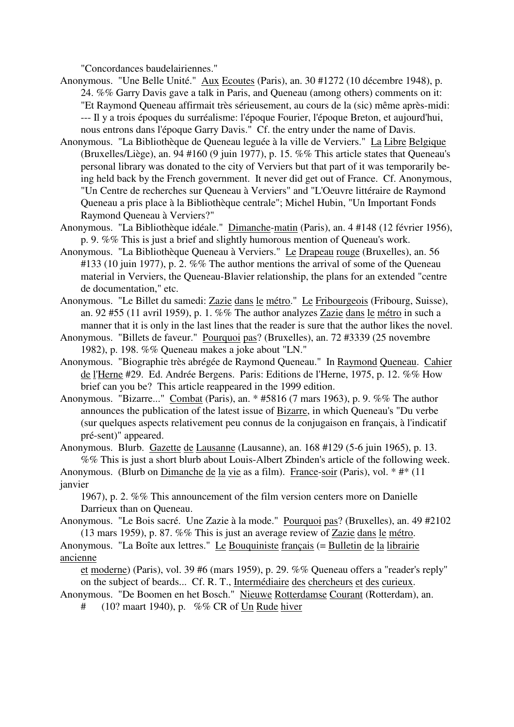"Concordances baudelairiennes."

- Anonymous. "Une Belle Unité." Aux Ecoutes (Paris), an. 30 #1272 (10 décembre 1948), p. 24. %% Garry Davis gave a talk in Paris, and Queneau (among others) comments on it: "Et Raymond Queneau affirmait très sérieusement, au cours de la (sic) même après-midi: --- Il y a trois époques du surréalisme: l'époque Fourier, l'époque Breton, et aujourd'hui, nous entrons dans l'époque Garry Davis." Cf. the entry under the name of Davis.
- Anonymous. "La Bibliothèque de Queneau leguée à la ville de Verviers." La Libre Belgique (Bruxelles/Liège), an. 94 #160 (9 juin 1977), p. 15. %% This article states that Queneau's personal library was donated to the city of Verviers but that part of it was temporarily being held back by the French government. It never did get out of France. Cf. Anonymous, "Un Centre de recherches sur Queneau à Verviers" and "L'Oeuvre littéraire de Raymond Queneau a pris place à la Bibliothèque centrale"; Michel Hubin, "Un Important Fonds Raymond Queneau à Verviers?"
- Anonymous. "La Bibliothèque idéale." Dimanche-matin (Paris), an. 4 #148 (12 février 1956), p. 9. %% This is just a brief and slightly humorous mention of Queneau's work.
- Anonymous. "La Bibliothèque Queneau à Verviers." Le Drapeau rouge (Bruxelles), an. 56 #133 (10 juin 1977), p. 2. %% The author mentions the arrival of some of the Queneau material in Verviers, the Queneau-Blavier relationship, the plans for an extended "centre de documentation," etc.
- Anonymous. "Le Billet du samedi: Zazie dans le métro." Le Fribourgeois (Fribourg, Suisse), an. 92 #55 (11 avril 1959), p. 1. %% The author analyzes Zazie dans le métro in such a manner that it is only in the last lines that the reader is sure that the author likes the novel.
- Anonymous. "Billets de faveur." Pourquoi pas? (Bruxelles), an. 72 #3339 (25 novembre 1982), p. 198. %% Queneau makes a joke about "LN."
- Anonymous. "Biographie très abrégée de Raymond Queneau." In Raymond Queneau. Cahier de l'Herne #29. Ed. Andrée Bergens. Paris: Editions de l'Herne, 1975, p. 12. %% How brief can you be? This article reappeared in the 1999 edition.
- Anonymous. "Bizarre..." Combat (Paris), an. \* #5816 (7 mars 1963), p. 9. %% The author announces the publication of the latest issue of Bizarre, in which Queneau's "Du verbe (sur quelques aspects relativement peu connus de la conjugaison en français, à l'indicatif pré-sent)" appeared.

Anonymous. Blurb. Gazette de Lausanne (Lausanne), an. 168 #129 (5-6 juin 1965), p. 13. %% This is just a short blurb about Louis-Albert Zbinden's article of the following week.

Anonymous. (Blurb on Dimanche de la vie as a film). France-soir (Paris), vol. \* #\* (11 janvier

1967), p. 2. %% This announcement of the film version centers more on Danielle Darrieux than on Queneau.

Anonymous. "Le Bois sacré. Une Zazie à la mode." Pourquoi pas? (Bruxelles), an. 49 #2102 (13 mars 1959), p. 87. %% This is just an average review of Zazie dans le métro.

Anonymous. "La Boîte aux lettres." Le Bouquiniste français (= Bulletin de la librairie ancienne

et moderne) (Paris), vol. 39 #6 (mars 1959), p. 29. %% Queneau offers a "reader's reply" on the subject of beards... Cf. R. T., Interméd<u>iaire des chercheurs et des curieux</u>.

Anonymous. "De Boomen en het Bosch." Nieuwe Rotterdamse Courant (Rotterdam), an.

# (10? maart 1940), p. %% CR of Un Rude hiver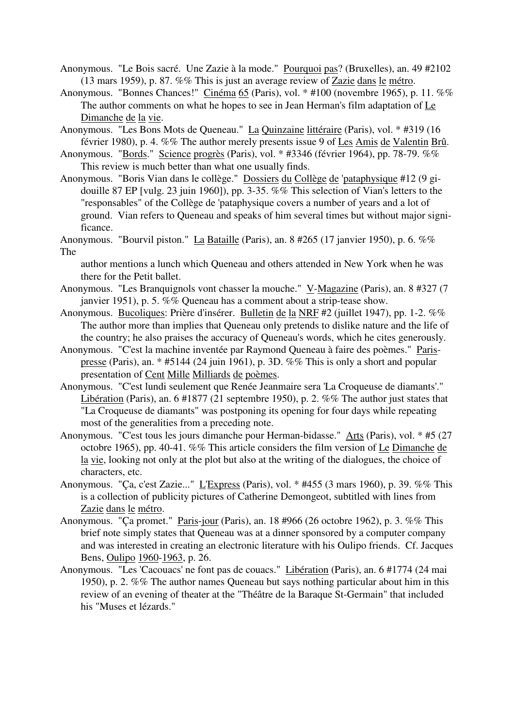- Anonymous. "Le Bois sacré. Une Zazie à la mode." Pourquoi pas? (Bruxelles), an. 49 #2102 (13 mars 1959), p. 87. %% This is just an average review of Zazie dans le métro.
- Anonymous. "Bonnes Chances!" Cinéma 65 (Paris), vol. \* #100 (novembre 1965), p. 11. %% The author comments on what he hopes to see in Jean Herman's film adaptation of Le Dimanche de la vie.
- Anonymous. "Les Bons Mots de Queneau." La Quinzaine littéraire (Paris), vol. \* #319 (16 février 1980), p. 4. %% The author merely presents issue 9 of Les Amis de Valentin Brû.
- Anonymous. "Bords." Science progrès (Paris), vol. \* #3346 (février 1964), pp. 78-79. %% This review is much better than what one usually finds.
- Anonymous. "Boris Vian dans le collège." Dossiers du Collège de 'pataphysique #12 (9 gidouille 87 EP [vulg. 23 juin 1960]), pp. 3-35. %% This selection of Vian's letters to the "responsables" of the Collège de 'pataphysique covers a number of years and a lot of ground. Vian refers to Queneau and speaks of him several times but without major significance.
- Anonymous. "Bourvil piston." La Bataille (Paris), an. 8 #265 (17 janvier 1950), p. 6. %% The

author mentions a lunch which Queneau and others attended in New York when he was there for the Petit ballet.

- Anonymous. "Les Branquignols vont chasser la mouche." V-Magazine (Paris), an. 8 #327 (7 janvier 1951), p. 5. %% Queneau has a comment about a strip-tease show.
- Anonymous. Bucoliques: Prière d'insérer. Bulletin de la NRF #2 (juillet 1947), pp. 1-2. %% The author more than implies that Queneau only pretends to dislike nature and the life of the country; he also praises the accuracy of Queneau's words, which he cites generously.
- Anonymous. "C'est la machine inventée par Raymond Queneau à faire des poèmes." Parispresse (Paris), an. \* #5144 (24 juin 1961), p. 3D. %% This is only a short and popular presentation of Cent Mille Milliards de poèmes.
- Anonymous. "C'est lundi seulement que Renée Jeanmaire sera 'La Croqueuse de diamants'." Libération (Paris), an. 6 #1877 (21 septembre 1950), p. 2. %% The author just states that "La Croqueuse de diamants" was postponing its opening for four days while repeating most of the generalities from a preceding note.
- Anonymous. "C'est tous les jours dimanche pour Herman-bidasse." Arts (Paris), vol. \* #5 (27 octobre 1965), pp. 40-41. %% This article considers the film version of Le Dimanche de la vie, looking not only at the plot but also at the writing of the dialogues, the choice of characters, etc.
- Anonymous. "Ça, c'est Zazie..." L'Express (Paris), vol. \* #455 (3 mars 1960), p. 39. %% This is a collection of publicity pictures of Catherine Demongeot, subtitled with lines from Zazie dans le métro.
- Anonymous. "Ça promet." Paris-jour (Paris), an. 18 #966 (26 octobre 1962), p. 3. %% This brief note simply states that Queneau was at a dinner sponsored by a computer company and was interested in creating an electronic literature with his Oulipo friends. Cf. Jacques Bens, Oulipo 1960-1963, p. 26.
- Anonymous. "Les 'Cacouacs' ne font pas de couacs." Libération (Paris), an. 6 #1774 (24 mai 1950), p. 2. %% The author names Queneau but says nothing particular about him in this review of an evening of theater at the "Théâtre de la Baraque St-Germain" that included his "Muses et lézards."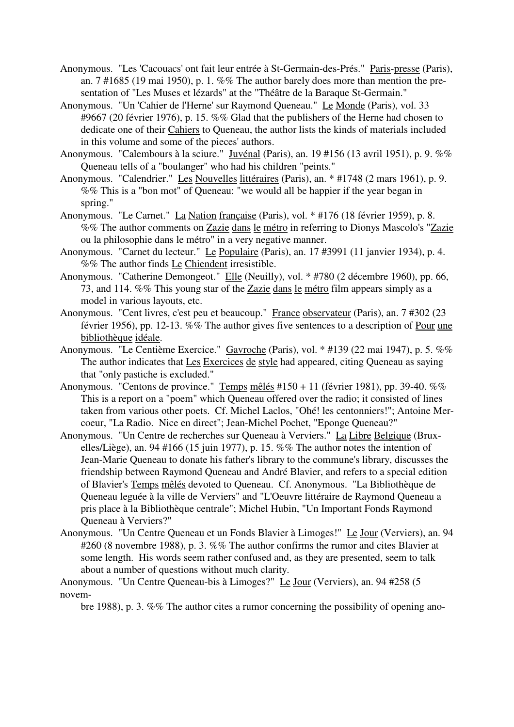- Anonymous. "Les 'Cacouacs' ont fait leur entrée à St-Germain-des-Prés." Paris-presse (Paris), an. 7 #1685 (19 mai 1950), p. 1. %% The author barely does more than mention the presentation of "Les Muses et lézards" at the "Théâtre de la Baraque St-Germain."
- Anonymous. "Un 'Cahier de l'Herne' sur Raymond Queneau." Le Monde (Paris), vol. 33 #9667 (20 février 1976), p. 15. %% Glad that the publishers of the Herne had chosen to dedicate one of their Cahiers to Queneau, the author lists the kinds of materials included in this volume and some of the pieces' authors.
- Anonymous. "Calembours à la sciure." Juvénal (Paris), an. 19 #156 (13 avril 1951), p. 9. %% Queneau tells of a "boulanger" who had his children "peints."
- Anonymous. "Calendrier." Les Nouvelles littéraires (Paris), an. \* #1748 (2 mars 1961), p. 9. %% This is a "bon mot" of Queneau: "we would all be happier if the year began in spring."
- Anonymous. "Le Carnet." La Nation française (Paris), vol. \* #176 (18 février 1959), p. 8. %% The author comments on Zazie dans le métro in referring to Dionys Mascolo's "Zazie ou la philosophie dans le métro" in a very negative manner.
- Anonymous. "Carnet du lecteur." Le Populaire (Paris), an. 17 #3991 (11 janvier 1934), p. 4. %% The author finds Le Chiendent irresistible.
- Anonymous. "Catherine Demongeot." Elle (Neuilly), vol. \* #780 (2 décembre 1960), pp. 66, 73, and 114. %% This young star of the Zazie dans le métro film appears simply as a model in various layouts, etc.
- Anonymous. "Cent livres, c'est peu et beaucoup." France observateur (Paris), an. 7 #302 (23 février 1956), pp. 12-13. %% The author gives five sentences to a description of Pour une bibliothèque idéale.
- Anonymous. "Le Centième Exercice." Gavroche (Paris), vol. \* #139 (22 mai 1947), p. 5. %% The author indicates that Les Exercices de style had appeared, citing Queneau as saying that "only pastiche is excluded."
- Anonymous. "Centons de province." Temps mêlés #150 + 11 (février 1981), pp. 39-40. %% This is a report on a "poem" which Queneau offered over the radio; it consisted of lines taken from various other poets. Cf. Michel Laclos, "Ohé! les centonniers!"; Antoine Mercoeur, "La Radio. Nice en direct"; Jean-Michel Pochet, "Eponge Queneau?"
- Anonymous. "Un Centre de recherches sur Queneau à Verviers." La Libre Belgique (Bruxelles/Liège), an. 94 #166 (15 juin 1977), p. 15. %% The author notes the intention of Jean-Marie Queneau to donate his father's library to the commune's library, discusses the friendship between Raymond Queneau and André Blavier, and refers to a special edition of Blavier's Temps mêlés devoted to Queneau. Cf. Anonymous. "La Bibliothèque de Queneau leguée à la ville de Verviers" and "L'Oeuvre littéraire de Raymond Queneau a pris place à la Bibliothèque centrale"; Michel Hubin, "Un Important Fonds Raymond Queneau à Verviers?"
- Anonymous. "Un Centre Queneau et un Fonds Blavier à Limoges!" Le Jour (Verviers), an. 94 #260 (8 novembre 1988), p. 3. %% The author confirms the rumor and cites Blavier at some length. His words seem rather confused and, as they are presented, seem to talk about a number of questions without much clarity.

Anonymous. "Un Centre Queneau-bis à Limoges?" Le Jour (Verviers), an. 94 #258 (5 novem-

bre 1988), p. 3. %% The author cites a rumor concerning the possibility of opening ano-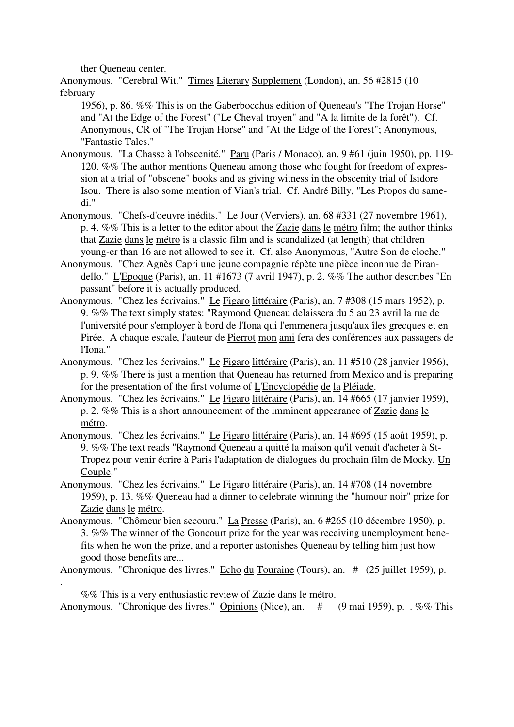ther Queneau center.

.

Anonymous. "Cerebral Wit." Times Literary Supplement (London), an. 56 #2815 (10 february

1956), p. 86. %% This is on the Gaberbocchus edition of Queneau's "The Trojan Horse" and "At the Edge of the Forest" ("Le Cheval troyen" and "A la limite de la forêt"). Cf. Anonymous, CR of "The Trojan Horse" and "At the Edge of the Forest"; Anonymous, "Fantastic Tales."

- Anonymous. "La Chasse à l'obscenité." Paru (Paris / Monaco), an. 9 #61 (juin 1950), pp. 119- 120. %% The author mentions Queneau among those who fought for freedom of expression at a trial of "obscene" books and as giving witness in the obscenity trial of Isidore Isou. There is also some mention of Vian's trial. Cf. André Billy, "Les Propos du samedi."
- Anonymous. "Chefs-d'oeuvre inédits." Le Jour (Verviers), an. 68 #331 (27 novembre 1961), p. 4. %% This is a letter to the editor about the Zazie dans le métro film; the author thinks that Zazie dans le métro is a classic film and is scandalized (at length) that children young-er than 16 are not allowed to see it. Cf. also Anonymous, "Autre Son de cloche."
- Anonymous. "Chez Agnès Capri une jeune compagnie répète une pièce inconnue de Pirandello." L'Epoque (Paris), an. 11 #1673 (7 avril 1947), p. 2. %% The author describes "En passant" before it is actually produced.
- Anonymous. "Chez les écrivains." Le Figaro littéraire (Paris), an. 7 #308 (15 mars 1952), p. 9. %% The text simply states: "Raymond Queneau delaissera du 5 au 23 avril la rue de l'université pour s'employer à bord de l'Iona qui l'emmenera jusqu'aux îles grecques et en Pirée. A chaque escale, l'auteur de Pierrot mon ami fera des conférences aux passagers de l'Iona."
- Anonymous. "Chez les écrivains." Le Figaro littéraire (Paris), an. 11 #510 (28 janvier 1956), p. 9. %% There is just a mention that Queneau has returned from Mexico and is preparing for the presentation of the first volume of L'Encyclopédie de la Pléiade.
- Anonymous. "Chez les écrivains." Le Figaro littéraire (Paris), an. 14 #665 (17 janvier 1959), p. 2. %% This is a short announcement of the imminent appearance of Zazie dans le métro.
- Anonymous. "Chez les écrivains." Le Figaro littéraire (Paris), an. 14 #695 (15 août 1959), p. 9. %% The text reads "Raymond Queneau a quitté la maison qu'il venait d'acheter à St-Tropez pour venir écrire à Paris l'adaptation de dialogues du prochain film de Mocky, Un Couple."
- Anonymous. "Chez les écrivains." Le Figaro littéraire (Paris), an. 14 #708 (14 novembre 1959), p. 13. %% Queneau had a dinner to celebrate winning the "humour noir" prize for Zazie dans le métro.
- Anonymous. "Chômeur bien secouru." La Presse (Paris), an. 6 #265 (10 décembre 1950), p. 3. %% The winner of the Goncourt prize for the year was receiving unemployment benefits when he won the prize, and a reporter astonishes Queneau by telling him just how good those benefits are...

Anonymous. "Chronique des livres." Echo du Touraine (Tours), an. # (25 juillet 1959), p.

%% This is a very enthusiastic review of Zazie dans le métro. Anonymous. "Chronique des livres." Opinions (Nice), an. # (9 mai 1959), p. . %% This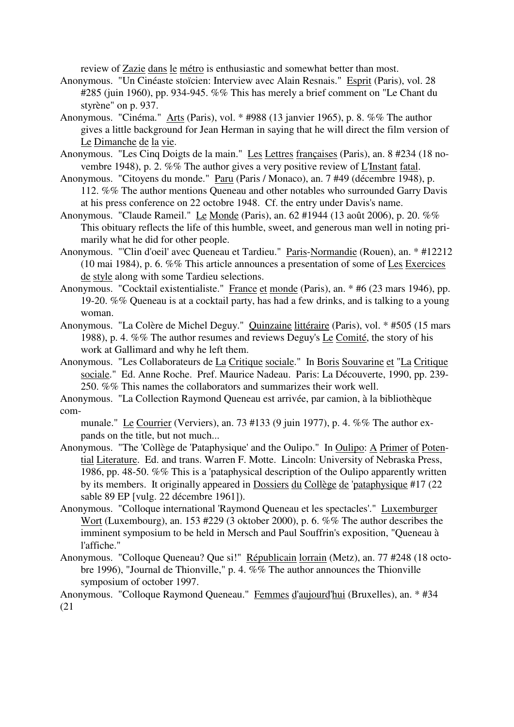review of Zazie dans le métro is enthusiastic and somewhat better than most.

- Anonymous. "Un Cinéaste stoïcien: Interview avec Alain Resnais." Esprit (Paris), vol. 28 #285 (juin 1960), pp. 934-945. %% This has merely a brief comment on "Le Chant du styrène" on p. 937.
- Anonymous. "Cinéma." Arts (Paris), vol. \* #988 (13 janvier 1965), p. 8. %% The author gives a little background for Jean Herman in saying that he will direct the film version of Le Dimanche de la vie.
- Anonymous. "Les Cinq Doigts de la main." Les Lettres françaises (Paris), an. 8 #234 (18 novembre 1948), p. 2. %% The author gives a very positive review of L'Instant fatal.
- Anonymous. "Citoyens du monde." Paru (Paris / Monaco), an. 7 #49 (décembre 1948), p. 112. %% The author mentions Queneau and other notables who surrounded Garry Davis at his press conference on 22 octobre 1948. Cf. the entry under Davis's name.
- Anonymous. "Claude Rameil." Le Monde (Paris), an. 62 #1944 (13 août 2006), p. 20. %% This obituary reflects the life of this humble, sweet, and generous man well in noting primarily what he did for other people.
- Anonymous. "'Clin d'oeil' avec Queneau et Tardieu." Paris-Normandie (Rouen), an. \* #12212 (10 mai 1984), p. 6. %% This article announces a presentation of some of Les Exercices de style along with some Tardieu selections.
- Anonymous. "Cocktail existentialiste." France et monde (Paris), an. \* #6 (23 mars 1946), pp. 19-20. %% Queneau is at a cocktail party, has had a few drinks, and is talking to a young woman.
- Anonymous. "La Colère de Michel Deguy." Quinzaine littéraire (Paris), vol. \* #505 (15 mars 1988), p. 4. %% The author resumes and reviews Deguy's Le Comité, the story of his work at Gallimard and why he left them.
- Anonymous. "Les Collaborateurs de La Critique sociale." In Boris Souvarine et "La Critique sociale." Ed. Anne Roche. Pref. Maurice Nadeau. Paris: La Découverte, 1990, pp. 239- 250. %% This names the collaborators and summarizes their work well.
- Anonymous. "La Collection Raymond Queneau est arrivée, par camion, à la bibliothèque com-

munale." Le Courrier (Verviers), an. 73 #133 (9 juin 1977), p. 4. %% The author expands on the title, but not much...

- Anonymous. "The 'Collège de 'Pataphysique' and the Oulipo." In Oulipo: A Primer of Potential Literature. Ed. and trans. Warren F. Motte. Lincoln: University of Nebraska Press, 1986, pp. 48-50. %% This is a 'pataphysical description of the Oulipo apparently written by its members. It originally appeared in Dossiers du Collège de 'pataphysique #17 (22 sable 89 EP [vulg. 22 décembre 1961]).
- Anonymous. "Colloque international 'Raymond Queneau et les spectacles'." Luxemburger Wort (Luxembourg), an. 153 #229 (3 oktober 2000), p. 6. %% The author describes the imminent symposium to be held in Mersch and Paul Souffrin's exposition, "Queneau à l'affiche."
- Anonymous. "Colloque Queneau? Que si!" Républicain lorrain (Metz), an. 77 #248 (18 octobre 1996), "Journal de Thionville," p. 4. %% The author announces the Thionville symposium of october 1997.

Anonymous. "Colloque Raymond Queneau." Femmes d'aujourd'hui (Bruxelles), an. \* #34 (21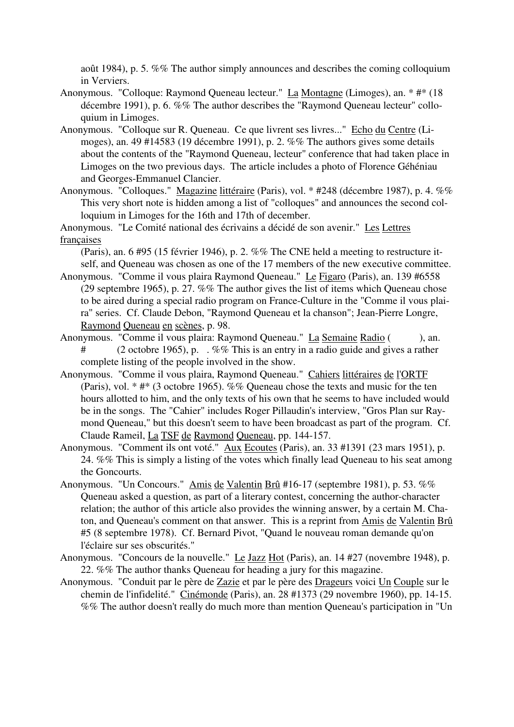août 1984), p. 5. %% The author simply announces and describes the coming colloquium in Verviers.

- Anonymous. "Colloque: Raymond Queneau lecteur." La Montagne (Limoges), an. \* #\* (18 décembre 1991), p. 6. %% The author describes the "Raymond Queneau lecteur" colloquium in Limoges.
- Anonymous. "Colloque sur R. Queneau. Ce que livrent ses livres..." Echo du Centre (Limoges), an. 49 #14583 (19 décembre 1991), p. 2. %% The authors gives some details about the contents of the "Raymond Queneau, lecteur" conference that had taken place in Limoges on the two previous days. The article includes a photo of Florence Géhéniau and Georges-Emmanuel Clancier.
- Anonymous. "Colloques." Magazine littéraire (Paris), vol. \* #248 (décembre 1987), p. 4. %% This very short note is hidden among a list of "colloques" and announces the second colloquium in Limoges for the 16th and 17th of december.

Anonymous. "Le Comité national des écrivains a décidé de son avenir." Les Lettres françaises

(Paris), an. 6 #95 (15 février 1946), p. 2. %% The CNE held a meeting to restructure itself, and Queneau was chosen as one of the 17 members of the new executive committee.

- Anonymous. "Comme il vous plaira Raymond Queneau." Le Figaro (Paris), an. 139 #6558 (29 septembre 1965), p. 27. %% The author gives the list of items which Queneau chose to be aired during a special radio program on France-Culture in the "Comme il vous plaira" series. Cf. Claude Debon, "Raymond Queneau et la chanson"; Jean-Pierre Longre, Raymond Queneau en scènes, p. 98.
- Anonymous. "Comme il vous plaira: Raymond Queneau." La Semaine Radio (), an. # (2 octobre 1965), p. . %% This is an entry in a radio guide and gives a rather complete listing of the people involved in the show.
- Anonymous. "Comme il vous plaira, Raymond Queneau." Cahiers littéraires de l'ORTF (Paris), vol. \* #\* (3 octobre 1965). %% Queneau chose the texts and music for the ten hours allotted to him, and the only texts of his own that he seems to have included would be in the songs. The "Cahier" includes Roger Pillaudin's interview, "Gros Plan sur Raymond Queneau," but this doesn't seem to have been broadcast as part of the program. Cf. Claude Rameil, La TSF de Raymond Queneau, pp. 144-157.
- Anonymous. "Comment ils ont voté." Aux Ecoutes (Paris), an. 33 #1391 (23 mars 1951), p. 24. %% This is simply a listing of the votes which finally lead Queneau to his seat among the Goncourts.
- Anonymous. "Un Concours." Amis de Valentin Brû #16-17 (septembre 1981), p. 53. %% Queneau asked a question, as part of a literary contest, concerning the author-character relation; the author of this article also provides the winning answer, by a certain M. Chaton, and Queneau's comment on that answer. This is a reprint from Amis de Valentin Brû #5 (8 septembre 1978). Cf. Bernard Pivot, "Quand le nouveau roman demande qu'on l'éclaire sur ses obscurités."
- Anonymous. "Concours de la nouvelle." Le Jazz Hot (Paris), an. 14 #27 (novembre 1948), p. 22. %% The author thanks Queneau for heading a jury for this magazine.
- Anonymous. "Conduit par le père de Zazie et par le père des Drageurs voici Un Couple sur le chemin de l'infidelité." Cinémonde (Paris), an. 28 #1373 (29 novembre 1960), pp. 14-15. %% The author doesn't really do much more than mention Queneau's participation in "Un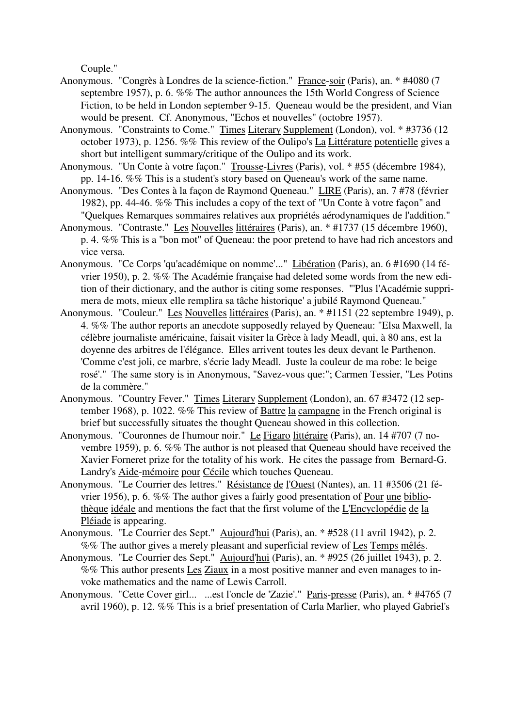Couple."

- Anonymous. "Congrès à Londres de la science-fiction." France-soir (Paris), an. \* #4080 (7 septembre 1957), p. 6. %% The author announces the 15th World Congress of Science Fiction, to be held in London september 9-15. Queneau would be the president, and Vian would be present. Cf. Anonymous, "Echos et nouvelles" (octobre 1957).
- Anonymous. "Constraints to Come." Times Literary Supplement (London), vol. \* #3736 (12 october 1973), p. 1256. %% This review of the Oulipo's La Littérature potentielle gives a short but intelligent summary/critique of the Oulipo and its work.
- Anonymous. "Un Conte à votre façon." Trousse-Livres (Paris), vol. \* #55 (décembre 1984), pp. 14-16. %% This is a student's story based on Queneau's work of the same name.
- Anonymous. "Des Contes à la façon de Raymond Queneau." LIRE (Paris), an. 7 #78 (février 1982), pp. 44-46. %% This includes a copy of the text of "Un Conte à votre façon" and "Quelques Remarques sommaires relatives aux propriétés aérodynamiques de l'addition."
- Anonymous. "Contraste." Les Nouvelles littéraires (Paris), an. \* #1737 (15 décembre 1960), p. 4. %% This is a "bon mot" of Queneau: the poor pretend to have had rich ancestors and vice versa.
- Anonymous. "Ce Corps 'qu'académique on nomme'..." Libération (Paris), an. 6 #1690 (14 février 1950), p. 2. %% The Académie française had deleted some words from the new edition of their dictionary, and the author is citing some responses. "'Plus l'Académie supprimera de mots, mieux elle remplira sa tâche historique' a jubilé Raymond Queneau."
- Anonymous. "Couleur." Les Nouvelles littéraires (Paris), an. \* #1151 (22 septembre 1949), p. 4. %% The author reports an anecdote supposedly relayed by Queneau: "Elsa Maxwell, la célèbre journaliste américaine, faisait visiter la Grèce à lady Meadl, qui, à 80 ans, est la doyenne des arbitres de l'élégance. Elles arrivent toutes les deux devant le Parthenon. 'Comme c'est joli, ce marbre, s'écrie lady Meadl. Juste la couleur de ma robe: le beige rosé'." The same story is in Anonymous, "Savez-vous que:"; Carmen Tessier, "Les Potins de la commère."
- Anonymous. "Country Fever." Times Literary Supplement (London), an. 67 #3472 (12 september 1968), p. 1022. %% This review of Battre la campagne in the French original is brief but successfully situates the thought Queneau showed in this collection.
- Anonymous. "Couronnes de l'humour noir." Le Figaro littéraire (Paris), an. 14 #707 (7 novembre 1959), p. 6. %% The author is not pleased that Queneau should have received the Xavier Forneret prize for the totality of his work. He cites the passage from Bernard-G. Landry's Aide-mémoire pour Cécile which touches Queneau.
- Anonymous. "Le Courrier des lettres." Résistance de l'Ouest (Nantes), an. 11 #3506 (21 février 1956), p. 6. %% The author gives a fairly good presentation of Pour une bibliothèque idéale and mentions the fact that the first volume of the L'Encyclopédie de la Pléiade is appearing.
- Anonymous. "Le Courrier des Sept." Aujourd'hui (Paris), an. \* #528 (11 avril 1942), p. 2. %% The author gives a merely pleasant and superficial review of Les Temps mêlés.
- Anonymous. "Le Courrier des Sept." Aujourd'hui (Paris), an. \* #925 (26 juillet 1943), p. 2. %% This author presents Les Ziaux in a most positive manner and even manages to invoke mathematics and the name of Lewis Carroll.
- Anonymous. "Cette Cover girl... ...est l'oncle de 'Zazie'." Paris-presse (Paris), an. \* #4765 (7 avril 1960), p. 12. %% This is a brief presentation of Carla Marlier, who played Gabriel's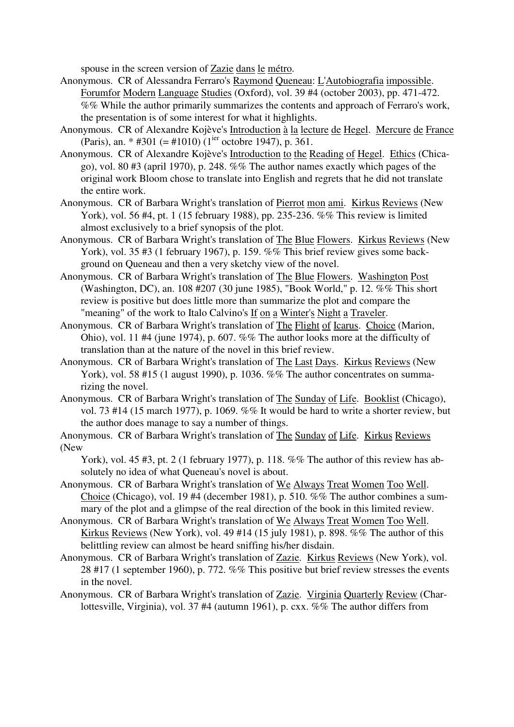spouse in the screen version of Zazie dans le métro.

- Anonymous. CR of Alessandra Ferraro's Raymond Queneau: L'Autobiografia impossible. Forumfor Modern Language Studies (Oxford), vol. 39 #4 (october 2003), pp. 471-472. %% While the author primarily summarizes the contents and approach of Ferraro's work, the presentation is of some interest for what it highlights.
- Anonymous. CR of Alexandre Kojève's Introduction à la lecture de Hegel. Mercure de France (Paris), an. \* #301 (= #1010) (1<sup>ier</sup> octobre 1947), p. 361.
- Anonymous. CR of Alexandre Kojève's Introduction to the Reading of Hegel. Ethics (Chicago), vol. 80 #3 (april 1970), p. 248. %% The author names exactly which pages of the original work Bloom chose to translate into English and regrets that he did not translate the entire work.
- Anonymous. CR of Barbara Wright's translation of Pierrot mon ami. Kirkus Reviews (New York), vol. 56 #4, pt. 1 (15 february 1988), pp. 235-236. %% This review is limited almost exclusively to a brief synopsis of the plot.
- Anonymous. CR of Barbara Wright's translation of The Blue Flowers. Kirkus Reviews (New York), vol. 35 #3 (1 february 1967), p. 159. %% This brief review gives some background on Queneau and then a very sketchy view of the novel.
- Anonymous. CR of Barbara Wright's translation of The Blue Flowers. Washington Post (Washington, DC), an. 108 #207 (30 june 1985), "Book World," p. 12. %% This short review is positive but does little more than summarize the plot and compare the "meaning" of the work to Italo Calvino's If on a Winter's Night a Traveler.
- Anonymous. CR of Barbara Wright's translation of The Flight of Icarus. Choice (Marion, Ohio), vol. 11 #4 (june 1974), p. 607. %% The author looks more at the difficulty of translation than at the nature of the novel in this brief review.
- Anonymous. CR of Barbara Wright's translation of The Last Days. Kirkus Reviews (New York), vol. 58 #15 (1 august 1990), p. 1036. %% The author concentrates on summarizing the novel.
- Anonymous. CR of Barbara Wright's translation of The Sunday of Life. Booklist (Chicago), vol. 73 #14 (15 march 1977), p. 1069. %% It would be hard to write a shorter review, but the author does manage to say a number of things.
- Anonymous. CR of Barbara Wright's translation of The Sunday of Life. Kirkus Reviews (New

York), vol. 45 #3, pt. 2 (1 february 1977), p. 118. %% The author of this review has absolutely no idea of what Queneau's novel is about.

- Anonymous. CR of Barbara Wright's translation of We Always Treat Women Too Well. Choice (Chicago), vol. 19 #4 (december 1981), p. 510. %% The author combines a summary of the plot and a glimpse of the real direction of the book in this limited review.
- Anonymous. CR of Barbara Wright's translation of We Always Treat Women Too Well. Kirkus Reviews (New York), vol. 49 #14 (15 july 1981), p. 898. %% The author of this belittling review can almost be heard sniffing his/her disdain.
- Anonymous. CR of Barbara Wright's translation of Zazie. Kirkus Reviews (New York), vol. 28 #17 (1 september 1960), p. 772. %% This positive but brief review stresses the events in the novel.
- Anonymous. CR of Barbara Wright's translation of Zazie. Virginia Quarterly Review (Charlottesville, Virginia), vol. 37 #4 (autumn 1961), p. cxx. %% The author differs from